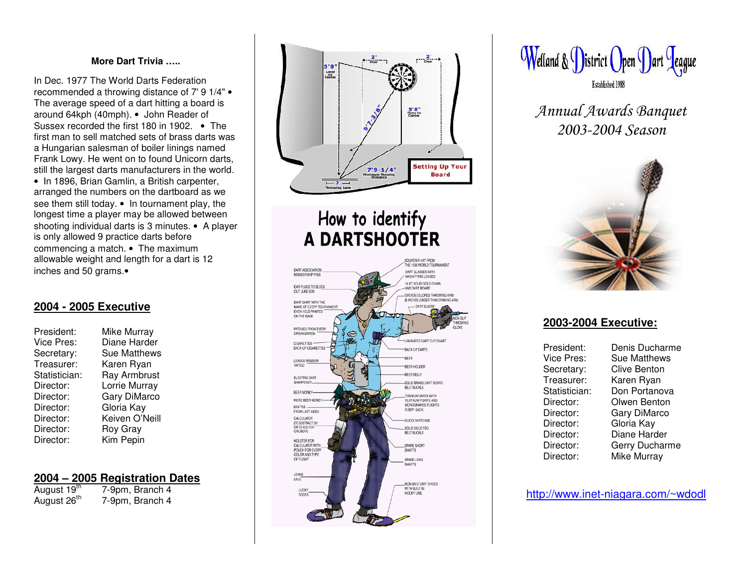### **MoreDart Trivia…..**

In Dec. 1977 The World Darts Federation reco mmend e d a thro wing distance of 7' 9 1/4" • The average speed of a dart hitting a board is around64kph (4 0mph). • John R eader of Sussex recorded the first 18 0 in 19 02. • Thefirst man to sell <sup>m</sup>atched sets of brass d arts wasa Hungarian salesman of boiler linings named Frank L o wy. H e went on to found Unicorn d arts, still the largest darts manufacturers in the world. • In 18 96, Brian G amlin, <sup>a</sup> British carp enter, arranged the numbers on the dartboard as we see them still today. • In tournament play, the longest time a player may be allowed between shooting individual darts is 3 minutes. • A player is only allowed 9 practice darts before co m m encing a m atch. • The m a ximum allowable weight and length for a dart is 12 inches and 50 grams.∙

### **2004 - 2 005Executive**

| Mike Murray         |
|---------------------|
| Diane Harder        |
| <b>Sue Matthews</b> |
| Karen Ryan          |
| Ray Armbrust        |
| Lorrie Murray       |
| Gary DiMarco        |
| Gloria Kay          |
| Keiven O'Neill      |
| Roy Gray            |
| Kim Pepin           |
|                     |

### **2 0 0 4 – 2 0 0 5 Re gistratio n Date s**

| August 19 <sup>th</sup> | 7-9pm, Branch 4 |
|-------------------------|-----------------|
| August 26 <sup>th</sup> | 7-9pm, Branch 4 |



# How to identify **A DARTSHOOTER**





Annual Awards Banquet 2003-2004 Season



### **2 0 0 3-2 0 0 4 E x e c utiv e:**

| President:    | Denis Ducharme      |
|---------------|---------------------|
| Vice Pres:    | <b>Sue Matthews</b> |
| Secretary:    | Clive Benton        |
| Treasurer:    | Karen Ryan          |
| Statistician: | Don Portanova       |
| Director:     | Olwen Benton        |
| Director:     | Gary DiMarco        |
| Director:     | Gloria Kay          |
| Director:     | Diane Harder        |
| Director:     | Gerry Ducharme      |
| Director:     | Mike Murray         |

http://w ww.inet-niag ara.com/~wdodl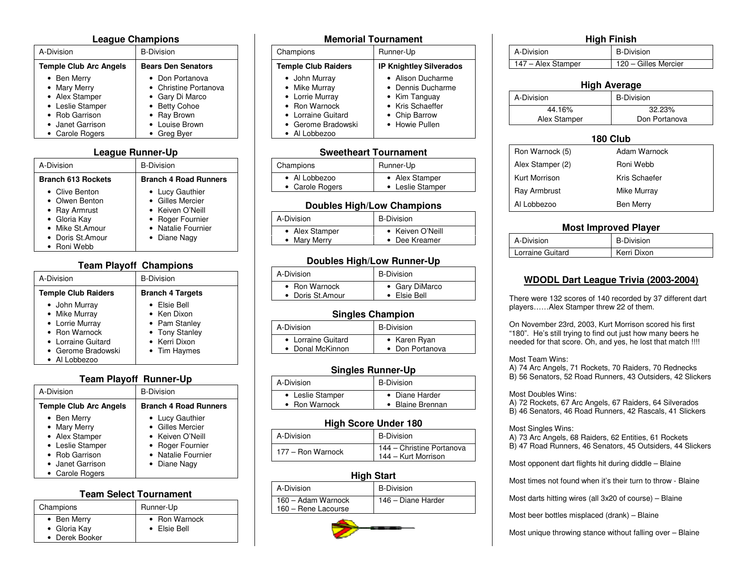### **Leag ueChampio ns**

| A-Division                                                                                                                 | <b>B-Division</b>                                                                                                            |
|----------------------------------------------------------------------------------------------------------------------------|------------------------------------------------------------------------------------------------------------------------------|
| <b>Temple Club Arc Angels</b>                                                                                              | <b>Bears Den Senators</b>                                                                                                    |
| • Ben Merry<br>• Mary Merry<br>• Alex Stamper<br>• Leslie Stamper<br>• Rob Garrison<br>• Janet Garrison<br>• Carole Rogers | • Don Portanova<br>• Christine Portanova<br>• Gary Di Marco<br>• Betty Cohoe<br>• Ray Brown<br>• Louise Brown<br>• Greg Byer |

### **Leag ueRunner-Up**

| A-Division                                                                                                              | <b>B-Division</b>                                                                                                 |
|-------------------------------------------------------------------------------------------------------------------------|-------------------------------------------------------------------------------------------------------------------|
| <b>Branch 613 Rockets</b>                                                                                               | <b>Branch 4 Road Runners</b>                                                                                      |
| • Clive Benton<br>• Olwen Benton<br>• Ray Armrust<br>• Gloria Kay<br>• Mike St.Amour<br>• Doris St.Amour<br>• Roni Webb | • Lucy Gauthier<br>• Gilles Mercier<br>• Keiven O'Neill<br>• Roger Fournier<br>• Natalie Fournier<br>• Diane Nagy |

### **Team Playoff Champions**

| A-Division                                                                                                                      | <b>B-Division</b>                                                                               |
|---------------------------------------------------------------------------------------------------------------------------------|-------------------------------------------------------------------------------------------------|
| <b>Temple Club Raiders</b>                                                                                                      | <b>Branch 4 Targets</b>                                                                         |
| • John Murray<br>• Mike Murray<br>• Lorrie Murray<br>• Ron Warnock<br>• Lorraine Guitard<br>• Gerome Bradowski<br>• Al Lobbezoo | • Elsie Bell<br>• Ken Dixon<br>• Pam Stanley<br>• Tony Stanley<br>• Kerri Dixon<br>• Tim Haymes |

### **T e a mPla y off Ru n n er-Up**

| A-Division                                                                                                                 | <b>B-Division</b>                                                                                                 |
|----------------------------------------------------------------------------------------------------------------------------|-------------------------------------------------------------------------------------------------------------------|
| <b>Temple Club Arc Angels</b>                                                                                              | <b>Branch 4 Road Runners</b>                                                                                      |
| • Ben Merry<br>• Mary Merry<br>• Alex Stamper<br>• Leslie Stamper<br>• Rob Garrison<br>• Janet Garrison<br>• Carole Rogers | • Lucy Gauthier<br>• Gilles Mercier<br>• Keiven O'Neill<br>• Roger Fournier<br>• Natalie Fournier<br>• Diane Nagy |

### **TeamSelect Tournament**

| Champions                                     | Runner-Up                     |
|-----------------------------------------------|-------------------------------|
| • Ben Merry<br>• Gloria Kay<br>• Derek Booker | • Ron Warnock<br>• Elsie Bell |

| <b>Memorial Tournament</b>                                                                                                      |                                                                                                                |
|---------------------------------------------------------------------------------------------------------------------------------|----------------------------------------------------------------------------------------------------------------|
| Champions                                                                                                                       | Runner-Up                                                                                                      |
| <b>Temple Club Raiders</b>                                                                                                      | <b>IP Knightley Silverados</b>                                                                                 |
| • John Murray<br>• Mike Murray<br>• Lorrie Murray<br>• Ron Warnock<br>• Lorraine Guitard<br>• Gerome Bradowski<br>• Al Lobbezoo | • Alison Ducharme<br>• Dennis Ducharme<br>• Kim Tanguay<br>• Kris Schaeffer<br>• Chip Barrow<br>• Howie Pullen |

### **Sweetheart Tournament**

| Champions       | Runner-Up        |
|-----------------|------------------|
| • Al Lobbezoo   | • Alex Stamper   |
| • Carole Rogers | • Leslie Stamper |

### **Doubles High/Low Champions**

| A-Division     | <b>B-Division</b> |
|----------------|-------------------|
| • Alex Stamper | • Keiven O'Neill  |
| • Mary Merry   | Dee Kreamer       |

### Doubles High/Low Runner-Up

| A-Division       | <b>B-Division</b>    |
|------------------|----------------------|
| • Ron Warnock    | • Gary DiMarco       |
| • Doris St.Amour | $\bullet$ Elsie Bell |

### **Single s Cha mpio n**

| A-Division         | <b>B-Division</b> |
|--------------------|-------------------|
| • Lorraine Guitard | • Karen Ryan      |
| • Donal McKinnon   | • Don Portanova   |

### **Sin gle s R u n n er-U p**

| A-Division       | B-Division       |  |  |  |  |
|------------------|------------------|--|--|--|--|
| • Leslie Stamper | • Diane Harder   |  |  |  |  |
| • Ron Warnock    | • Blaine Brennan |  |  |  |  |

### **High Score Under 180**

| A-Division        | <b>B-Division</b>                                |
|-------------------|--------------------------------------------------|
| 177 – Ron Warnock | 144 – Christine Portanova<br>144 - Kurt Morrison |

### **Hig h Start**

| A-Division                                | <b>B-Division</b>  |
|-------------------------------------------|--------------------|
| 160 - Adam Warnock<br>160 – Rene Lacourse | 146 - Diane Harder |



#### **Hig h A v era g e** A-Division B-Division 44.16% 32.23% **Alex Stamper** Don Portanova

### **180Club**Ron Warnock (5) Adam **Adam Warnock** Alex Stamper (2) Roni Webb Kurt Morrison Kris Schaefer Ray Armbrust Mike Murray Al LobbezooBen Merry

#### **Most Improved Player** A-Division B-Division **Lorraine Guitard** Kerri Dixon

### **WDODLDart Leag ueTrivia (2 003-2004)**

There were 132 scores of 140 recorded by 37 different dart players… …Alex Stamper threw 22 of them.

On November 23rd, 2003, Kurt Morrison scored his first "180". He's still trying to find out just how many beers he needed for that score. Oh, and yes, he lost that match !!!!

### Most Team Wins:

A) 74 Arc Angels, 71 Rockets, 70 Raiders, 70 Rednecks B) 56 Senators, 52 Road Runners, 43 Outsiders, 42 Slickers

### Most Doubles Wins:

A) 72 Rockets, 67 Arc Angels, 67 Raiders, 64 Silverados B) 46 Senators, 46 Road Runners, 42 Rascals, 41 Slickers

### Most Singles Wins:

A) 73 Arc Angels, 68 Raiders, 62 Entities, 61 Rockets

B) 47 Road Runners, 46 Senators, 45 Outsiders, 44 Slickers

Most opponent dart flights hit during diddle – Blaine

Most times not found when it's their turn to throw - Blaine

Most darts hitting wires (all 3x20 of course) – Blaine

Most beer bottles misplaced (drank) – Blaine

Most unique throwing stance without falling over – Blaine

|--|--|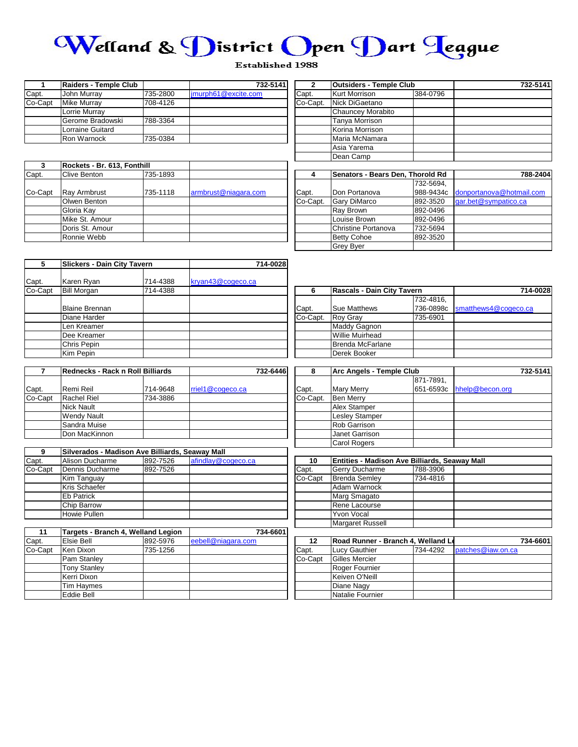

### **Established 1988**

|         | Raiders - Temple Club |          | 732-5141             |          | <b>Outsiders - Temple Club</b> |          | 732-5141 |
|---------|-----------------------|----------|----------------------|----------|--------------------------------|----------|----------|
| Capt.   | John Murray           | 735-2800 | limurph61@excite.com | Capt.    | Kurt Morrison                  | 384-0796 |          |
| Co-Capt | Mike Murrav           | 708-4126 |                      | Co-Capt. | Nick DiGaetano                 |          |          |
|         | Lorrie Murrav         |          |                      |          | Chauncey Morabito              |          |          |
|         | Gerome Bradowski      | 788-3364 |                      |          | Tanva Morrison                 |          |          |
|         | Lorraine Guitard      |          |                      |          | Korina Morrison                |          |          |
|         | Ron Warnock           | 735-0384 |                      |          | Maria McNamara                 |          |          |

|         | <b>Ron Warnock</b>          | 735-0384 |                      |          | Maria McNamara                   |           |                          |
|---------|-----------------------------|----------|----------------------|----------|----------------------------------|-----------|--------------------------|
|         |                             |          |                      |          | Asia Yarema                      |           |                          |
|         |                             |          |                      |          | Dean Camp                        |           |                          |
|         | Rockets - Br. 613, Fonthill |          |                      |          |                                  |           |                          |
| Capt.   | Clive Benton                | 735-1893 |                      |          | Senators - Bears Den, Thorold Rd |           | 788-2404                 |
|         |                             |          |                      |          |                                  | 732-5694. |                          |
| Co-Capt | <b>Ray Armbrust</b>         | 735-1118 | armbrust@niagara.com | Capt.    | Don Portanova                    | 988-9434c | donportanova@hotmail.com |
|         | Olwen Benton                |          |                      | Co-Capt. | <b>Gary DiMarco</b>              | 892-3520  | gar.bet@sympatico.ca     |
|         | Gloria Kav                  |          |                      |          | Ray Brown                        | 892-0496  |                          |
|         | Mike St. Amour              |          |                      |          | Louise Brown                     | 892-0496  |                          |

|          | Outsiders - Temple Club |          |  |  |
|----------|-------------------------|----------|--|--|
| Capt.    | <b>Kurt Morrison</b>    | 384-0796 |  |  |
| Co-Capt. | Nick DiGaetano          |          |  |  |
|          | Chauncey Morabito       |          |  |  |
|          | Tanya Morrison          |          |  |  |
|          | Korina Morrison         |          |  |  |
|          | Maria McNamara          |          |  |  |
|          | Asia Yarema             |          |  |  |
|          | Dean Camp               |          |  |  |
|          |                         |          |  |  |

| 4        | Senators - Bears Den, Thorold Rd |           | 788-2404                 |
|----------|----------------------------------|-----------|--------------------------|
|          |                                  | 732-5694, |                          |
| Capt.    | Don Portanova                    | 988-9434c | donportanova@hotmail.com |
| Co-Capt. | Gary DiMarco                     | 892-3520  | gar.bet@sympatico.ca     |
|          | Ray Brown                        | 892-0496  |                          |
|          | Louise Brown                     | 892-0496  |                          |
|          | Christine Portanova              | 732-5694  |                          |
|          | <b>Betty Cohoe</b>               | 892-3520  |                          |
|          | <b>Grey Byer</b>                 |           |                          |

| 5       | Slickers - Dain City Tavern    |          | 714-0028          |          |                            |           |                                |  |
|---------|--------------------------------|----------|-------------------|----------|----------------------------|-----------|--------------------------------|--|
| Capt.   | Karen Ryan                     | 714-4388 | kryan43@cogeco.ca |          |                            |           |                                |  |
| Co-Capt | <b>Bill Morgan</b><br>714-4388 |          |                   | b        | Rascals - Dain City Tavern |           | 714-0028                       |  |
|         |                                |          |                   |          |                            | 732-4816. |                                |  |
|         | <b>Blaine Brennan</b>          |          |                   | Capt.    | <b>Sue Matthews</b>        |           | 736-0898c smatthews4@cogeco.ca |  |
|         | Diane Harder                   |          |                   | Co-Capt. | <b>Roy Gray</b>            | 735-6901  |                                |  |
|         | Len Kreamer                    |          |                   |          | <b>Maddy Gagnon</b>        |           |                                |  |
|         | Dee Kreamer                    |          |                   |          | <b>Willie Muirhead</b>     |           |                                |  |
|         | Chris Pepin                    |          |                   |          | Brenda McFarlane           |           |                                |  |
|         | Kim Pepin                      |          |                   |          | Derek Booker               |           |                                |  |

Doris St. Amour Ronnie Webb

|         | Rednecks - Rack n Roll Billiards |          |                  | 732-6446 | 8        | Arc Angels - To       |
|---------|----------------------------------|----------|------------------|----------|----------|-----------------------|
|         |                                  |          |                  |          |          |                       |
| Capt.   | Remi Reil                        | 714-9648 | rriel1@cogeco.ca |          | Capt.    | <b>Mary Merry</b>     |
| Co-Capt | Rachel Riel                      | 734-3886 |                  |          | Co-Capt. | <b>Ben Merry</b>      |
|         | <b>Nick Nault</b>                |          |                  |          |          | Alex Stamper          |
|         | <b>Wendy Nault</b>               |          |                  |          |          | <b>Lesley Stamper</b> |
|         | Sandra Muise                     |          |                  |          |          | Rob Garrison          |
|         | Don MacKinnon                    |          |                  |          |          | Janet Garrison        |

| 9       | Silverados - Madison Ave Billiards, Seaway Mall |          |                    |         |                                                      |          |  |
|---------|-------------------------------------------------|----------|--------------------|---------|------------------------------------------------------|----------|--|
| Capt.   | Alison Ducharme                                 | 892-7526 | afindlay@cogeco.ca | 10      | <b>Entities - Madison Ave Billiards, Seaway Mall</b> |          |  |
| Co-Capt | Dennis Ducharme                                 | 892-7526 |                    | Capt.   | <b>Gerry Ducharme</b>                                | 788-3906 |  |
|         | Kim Tanguay                                     |          |                    | Co-Capt | <b>Brenda Semley</b>                                 | 734-4816 |  |
|         | Kris Schaefer                                   |          |                    |         | Adam Warnock                                         |          |  |
|         | <b>Eb Patrick</b>                               |          |                    |         | Marg Smagato                                         |          |  |
|         | Chip Barrow                                     |          |                    |         | Rene Lacourse                                        |          |  |
|         | Howie Pullen                                    |          |                    |         | Yvon Vocal                                           |          |  |
|         |                                                 |          |                    |         |                                                      |          |  |

| 11      | Targets - Branch 4, Welland Legion |          | 734-6601           |         |                                    |          |                   |          |
|---------|------------------------------------|----------|--------------------|---------|------------------------------------|----------|-------------------|----------|
| Capt.   | <b>Elsie Bell</b>                  | 892-5976 | eebell@niagara.com |         | Road Runner - Branch 4, Welland Le |          |                   | 734-6601 |
| Co-Capt | Ken Dixon                          | 735-1256 |                    | Capt.   | Lucy Gauthier                      | 734-4292 | patches@iaw.on.ca |          |
|         | Pam Stanley                        |          |                    | Co-Capt | Gilles Mercier                     |          |                   |          |
|         | <b>Tony Stanley</b>                |          |                    |         | Roger Fournier                     |          |                   |          |
|         | Kerri Dixon                        |          |                    |         | Keiven O'Neill                     |          |                   |          |
|         | Tim Haymes                         |          |                    |         | Diane Nagy                         |          |                   |          |
|         | Eddie Bell                         |          |                    |         | Natalie Fournier                   |          |                   |          |

| 6        | <b>Rascals - Dain City Tavern</b> |           | 714-0028             |
|----------|-----------------------------------|-----------|----------------------|
|          |                                   | 732-4816. |                      |
| Capt.    | Sue Matthews                      | 736-0898c | smatthews4@cogeco.ca |
| Co-Capt. | <b>Roy Gray</b>                   | 735-6901  |                      |
|          | Maddy Gagnon                      |           |                      |
|          | <b>Willie Muirhead</b>            |           |                      |
|          | <b>Brenda McFarlane</b>           |           |                      |
|          | Derek Booker                      |           |                      |

|      | Rednecks - Rack n Roll Billiards |          |                  | 732-6446 |          | Arc Angels - Temple Club |           |                           | 732-5141 |
|------|----------------------------------|----------|------------------|----------|----------|--------------------------|-----------|---------------------------|----------|
|      |                                  |          |                  |          |          |                          | 871-7891. |                           |          |
|      | Remi Reil                        | 714-9648 | rriel1@cogeco.ca |          | Capt.    | <b>Mary Merry</b>        |           | 651-6593c hhelp@becon.org |          |
| apt: | <b>Rachel Riel</b>               | 734-3886 |                  |          | Co-Capt. | <b>Ben Merry</b>         |           |                           |          |
|      | <b>Nick Nault</b>                |          |                  |          |          | Alex Stamper             |           |                           |          |
|      | <b>Wendy Nault</b>               |          |                  |          |          | Lesley Stamper           |           |                           |          |
|      | Sandra Muise                     |          |                  |          |          | <b>Rob Garrison</b>      |           |                           |          |
|      | Don MacKinnon                    |          |                  |          |          | Janet Garrison           |           |                           |          |
|      |                                  |          |                  |          |          | <b>Carol Rogers</b>      |           |                           |          |

| 10      | <b>Entities - Madison Ave Billiards, Seaway Mall</b> |          |  |
|---------|------------------------------------------------------|----------|--|
| Capt.   | Gerry Ducharme                                       | 788-3906 |  |
| Co-Capt | <b>Brenda Semley</b>                                 | 734-4816 |  |
|         | Adam Warnock                                         |          |  |
|         | Marg Smagato                                         |          |  |
|         | Rene Lacourse                                        |          |  |
|         | Yvon Vocal                                           |          |  |
|         | <b>Margaret Russell</b>                              |          |  |

| 12      | Road Runner - Branch 4, Welland Le |          |                   | 734-6601 |
|---------|------------------------------------|----------|-------------------|----------|
| Capt.   | Lucy Gauthier                      | 734-4292 | patches@iaw.on.ca |          |
| Co-Capt | <b>Gilles Mercier</b>              |          |                   |          |
|         | Roger Fournier                     |          |                   |          |
|         | Keiven O'Neill                     |          |                   |          |
|         | Diane Nagy                         |          |                   |          |
|         | Natalie Fournier                   |          |                   |          |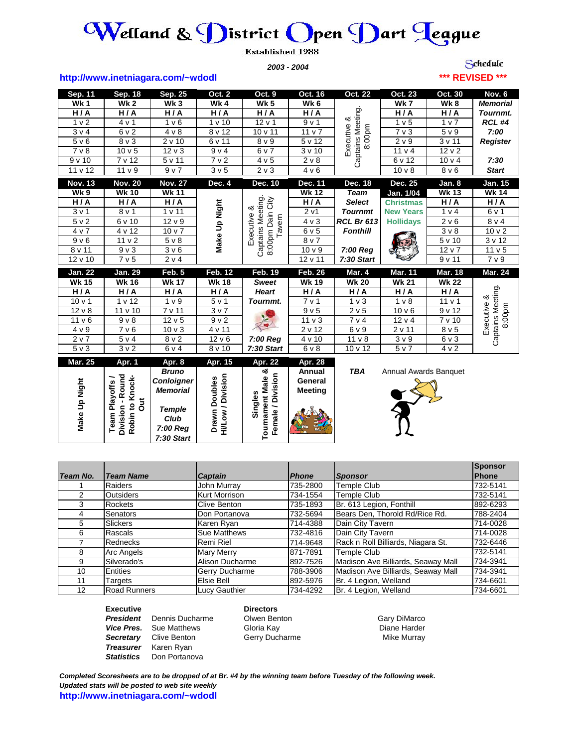# $\bm{\mathcal{W}}$ elland &  $\bm{\mathcal{D}}$ istrict  $\bm{\bigcirc}$ pen  $\bm{\mathcal{D}}$ art  $\bm{\mathcal{q}}$ eague

**Established 1988** 

*2003 - 2004*

Schedule **\*\*\* REVISED \*\*\***

### **http://www.inetniagara.com/~wdodl**

| Sep. 11           | Sep. 18                                                | Sep. 25                              | Oct. 2                                    | Oct. 9                                         | Oct. 16                   | Oct. 22                          | Oct. 23                        | Oct. 30                | Nov. 6                   |
|-------------------|--------------------------------------------------------|--------------------------------------|-------------------------------------------|------------------------------------------------|---------------------------|----------------------------------|--------------------------------|------------------------|--------------------------|
| <b>Wk1</b>        | Wk $\overline{2}$                                      | Wk <sub>3</sub>                      | Wk4                                       | Wk $5$                                         | Wk6                       |                                  | <b>Wk7</b>                     | Wk8                    | <b>Memorial</b>          |
| H/A               | H/A                                                    | H/A                                  | H/A                                       | H/A                                            | H/A                       |                                  | H/A                            | H/A                    | Tournmt.                 |
| 1 <sub>v</sub>    | 4 v 1                                                  | 1 <sub>v</sub> 6                     | 1 v 10                                    | $12 \vee 1$                                    | 9v1                       | Executive &<br>Captains Meeting. | 1 v 5                          | 1 v 7                  | <b>RCL #4</b>            |
| 3 v 4             | 6 v 2                                                  | 4 v 8                                | 8 v 12                                    | 10 v 11                                        | 11 v 7                    | 8:00pm                           | $7v$ 3                         | 5 <sub>v</sub> 9       | 7:00                     |
| 5 v 6             | $8v$ 3                                                 | 2 v 10                               | 6 v 11                                    | 8 v 9                                          | 5 v 12                    |                                  | 2 v 9                          | 3v11                   | <b>Register</b>          |
| $7v$ 8            | 10 <sub>v</sub> 5                                      | $12 \vee 3$                          | 9 v 4                                     | 6 v 7                                          | 3v10                      |                                  | 11 <sub>v</sub> 4              | 12 <sub>v</sub> 2      |                          |
| 9v10              | 7 v 12                                                 | 5 v 11                               | 7 <sub>v</sub> 2                          | 4 v 5                                          | 2 v 8                     |                                  | 6 v 12                         | 10 v 4                 | 7:30                     |
| 11 v 12           | 11 v 9                                                 | 9 v 7                                | 3 <sub>v</sub> 5                          | $2 \vee 3$                                     | 4 v 6                     |                                  | 10 <sub>v</sub>                | 8 <sub>v</sub> 6       | <b>Start</b>             |
| <b>Nov. 13</b>    | <b>Nov. 20</b>                                         | <b>Nov. 27</b>                       | Dec. 4                                    | Dec. 10                                        | <b>Dec. 11</b>            | Dec. 18                          | Dec. 25                        | Jan. 8                 | Jan. 15                  |
| <b>Wk 9</b>       | <b>Wk 10</b>                                           | <b>Wk 11</b>                         |                                           |                                                | <b>Wk 12</b>              | <b>Team</b>                      | Jan. 1/04                      | <b>Wk 13</b>           | <b>Wk 14</b>             |
| H/A               | H/A                                                    | H/A                                  |                                           | Captains Meeting.<br>8:00pm Dain City          | $\overline{H/I}$          | <b>Select</b>                    | <b>Christmas</b>               | H/A                    | H/A                      |
| 3 <sub>v</sub> 1  | $8v$ 1                                                 | 1 v 11                               |                                           |                                                | 2 <sub>v1</sub>           | <b>Tournmt</b>                   | <b>New Years</b>               | 1 <sub>v</sub> 4       | 6 v 1                    |
| 5 <sub>v</sub> 2  | 6 v 10                                                 | $\frac{1}{2}$ v 9                    |                                           |                                                | $4 \vee 3$                | <b>RCL Br 613</b>                | <b>Hollidays</b>               | $2 \vee 6$             | 8 <sub>v</sub> 4         |
| 4 v 7             | 4 v 12                                                 | 10 <sub>v</sub>                      | Make Up Night                             | Executive &<br>Tavern                          | 6v5                       | <b>Fonthill</b>                  |                                | 3 v 8                  | $\frac{10 \text{ v}}{2}$ |
| 9 v 6             | 11 <sub>v</sub> 2                                      | $5 \vee 8$                           |                                           |                                                | $8v$ 7                    |                                  |                                | 5v10                   | 3 v 12                   |
| 8 v 11            | 9 <sub>v</sub>                                         | 3 <sub>v</sub> 6                     |                                           |                                                | 10 <sub>v</sub>           | 7:00 Reg                         |                                | 12 v 7                 | 11 <sub>v</sub> 5        |
| 12 v 10           | 7v5                                                    | $\overline{2}$ v 4                   |                                           |                                                | 12 v 11                   | 7:30 Start                       |                                | 9v11                   | 7 v 9                    |
|                   |                                                        |                                      |                                           |                                                |                           |                                  |                                |                        |                          |
| <b>Jan. 22</b>    | Jan. 29                                                | Feb. 5                               |                                           | Feb. $19$                                      | <b>Feb. 26</b>            |                                  |                                | <b>Mar. 18</b>         | <b>Mar. 24</b>           |
| <b>Wk 15</b>      | <b>Wk 16</b>                                           | <b>Wk 17</b>                         | <b>Feb. 12</b><br><b>Wk 18</b>            | <b>Sweet</b>                                   | <b>Wk 19</b>              | <b>Mar. 4</b><br><b>Wk 20</b>    | <b>Mar. 11</b><br><b>Wk 21</b> | <b>Wk 22</b>           |                          |
| H/A               | H/A                                                    | H/A                                  | H/A                                       | <b>Heart</b>                                   | H/A                       | H/A                              | H/A                            | H/A                    |                          |
| 10 <sub>v</sub> 1 | 1 v 12                                                 | 1 <sub>v</sub>                       | 5 v 1                                     | Tournmt.                                       | 7 v 1                     | 1 <sub>v</sub>                   | 1 <sub>v</sub>                 | 11 <sub>v</sub> 1      |                          |
| $12 \vee 8$       | 11 v 10                                                | 7 v 11                               | 3v7                                       |                                                | 9 v 5                     | 2 v 5                            | 10 <sub>v</sub> 6              | $\overline{9 \vee 12}$ |                          |
| $11 \vee 6$       | 9 <sub>v</sub>                                         | 12 <sub>v</sub> 5                    | 9 <sub>v</sub> 2                          |                                                | 11 <sub>v</sub>           | 7 v 4                            | $\overline{12}$ v 4            | $\frac{1}{7}$ v 10     |                          |
| 4 v 9             | 7 <sub>v</sub> 6                                       | $10v$ 3                              | 4 v 11                                    |                                                | 2 v 12                    | 6 v 9                            | 2 v 11                         | 8 <sub>v</sub> 5       | Executive &<br>8:00pm    |
| 2 v 7             | 5 v 4                                                  | $8v$ 2                               | $\overline{12}$ v 6                       | 7:00 Reg                                       | 4 v 10                    | 11 <sub>v</sub>                  | 3 <sub>v</sub>                 | $6v$ 3                 |                          |
| 5v3               | 3 v 2                                                  | 6 v 4                                | 8 v 10                                    | 7:30 Start                                     | $6\sqrt{8}$               | $10\,\sqrt{12}$                  | 5 v 7                          | 4 v 2                  | Captains Meeting         |
|                   |                                                        |                                      |                                           |                                                |                           |                                  |                                |                        |                          |
| <b>Mar. 25</b>    | Apr. 1                                                 | Apr. 8<br><b>Bruno</b>               | Apr. 15                                   | <b>Apr. 22</b>                                 | <b>Apr. 28</b><br>Annual  | <b>TBA</b>                       | Annual Awards Banquet          |                        |                          |
|                   |                                                        |                                      |                                           | య                                              |                           |                                  |                                |                        |                          |
|                   |                                                        | <b>Conloigner</b><br><b>Memorial</b> |                                           |                                                | General<br><b>Meeting</b> |                                  |                                |                        |                          |
|                   |                                                        |                                      |                                           |                                                |                           |                                  |                                |                        |                          |
|                   | J                                                      | <b>Temple</b>                        |                                           |                                                |                           |                                  |                                |                        |                          |
| Make Up Night     | Division - Round<br>Robin to Knock-<br>Team Playoffs / | Club                                 | Hi/Low / Division<br><b>Drawn Doubles</b> | Female / Division<br>ournament Male<br>Singles |                           |                                  |                                |                        |                          |

| Make Up Night  | Round<br>Knock-<br><b>Playoffs</b><br>ā<br>Division -<br>Robin to I<br>Team | <b>Bruno</b><br><b>Conloigner</b><br><b>Memorial</b><br><b>Temple</b><br>Club<br>7:00 Reg<br>7:30 Start | Hi/Low / Division<br><b>Doubles</b><br>Drawn | య<br>Female / Division<br><b>Tournament Male</b><br>Singles | Annual<br>General<br><b>Meeting</b> | TBA                   | Annual Awards Banquet              |                |
|----------------|-----------------------------------------------------------------------------|---------------------------------------------------------------------------------------------------------|----------------------------------------------|-------------------------------------------------------------|-------------------------------------|-----------------------|------------------------------------|----------------|
|                |                                                                             |                                                                                                         |                                              |                                                             |                                     |                       |                                    | <b>Sponsor</b> |
| Team No.       | <b>Team Name</b>                                                            |                                                                                                         | <b>Captain</b>                               |                                                             | <b>Phone</b>                        | <b>Sponsor</b>        |                                    | <b>Phone</b>   |
|                | Raiders                                                                     |                                                                                                         | John Murray                                  |                                                             | 735-2800                            | <b>Temple Club</b>    |                                    | 732-5141       |
| $\overline{2}$ | <b>Outsiders</b>                                                            |                                                                                                         | <b>Kurt Morrison</b>                         |                                                             | 734-1554                            | Temple Club           |                                    | 732-5141       |
| 3              | Rockets                                                                     |                                                                                                         | Clive Benton                                 |                                                             | 735-1893                            |                       | Br. 613 Legion, Fonthill           | 892-6293       |
| 4              | Senators                                                                    |                                                                                                         | Don Portanova                                |                                                             | 732-5694                            |                       | Bears Den, Thorold Rd/Rice Rd.     | 788-2404       |
| 5              | <b>Slickers</b>                                                             |                                                                                                         | Karen Ryan                                   |                                                             | 714-4388                            | Dain City Tavern      |                                    | 714-0028       |
| 6              | Rascals                                                                     |                                                                                                         | <b>Sue Matthews</b>                          |                                                             | 732-4816                            | Dain City Tavern      |                                    | 714-0028       |
| 7              | Rednecks                                                                    |                                                                                                         | Remi Riel                                    |                                                             | 714-9648                            |                       | Rack n Roll Billiards, Niagara St. | 732-6446       |
| 8              | Arc Angels                                                                  |                                                                                                         | <b>Mary Merry</b>                            |                                                             | 871-7891                            | <b>Temple Club</b>    |                                    | 732-5141       |
| 9              | Silverado's                                                                 |                                                                                                         | Alison Ducharme                              |                                                             | 892-7526                            |                       | Madison Ave Billiards, Seaway Mall | 734-3941       |
| 10             | Entities                                                                    |                                                                                                         | Gerry Ducharme                               |                                                             | 788-3906                            |                       | Madison Ave Billiards, Seaway Mall | 734-3941       |
| 11             | Targets                                                                     |                                                                                                         | Elsie Bell                                   |                                                             | 892-5976                            | Br. 4 Legion, Welland |                                    | 734-6601       |
| 12             | <b>Road Runners</b>                                                         |                                                                                                         | Lucy Gauthier                                |                                                             | 734-4292                            | Br. 4 Legion, Welland |                                    | 734-6601       |

### **Executive Directors**

**President** Dennis Ducharme Clwen Benton Communication Cary DiMarco Communication Communication Communication C<br>
Communication Communication Communication Communication Communication Communication Communication Communicati **Vice Pres.** Sue Matthews Gloria Kay **Gramma Constructs** Diane Harder **Secretary** Clive Benton **Gerry Ducharme** Gerry Ducharme Mike Murray *Treasurer* Karen Ryan *Statistics* Don Portanova

*Completed Scoresheets are to be dropped of at Br. #4 by the winning team before Tuesday of the following week. Updated stats will be posted to web site weekly* **http://www.inetniagara.com/~wdodl**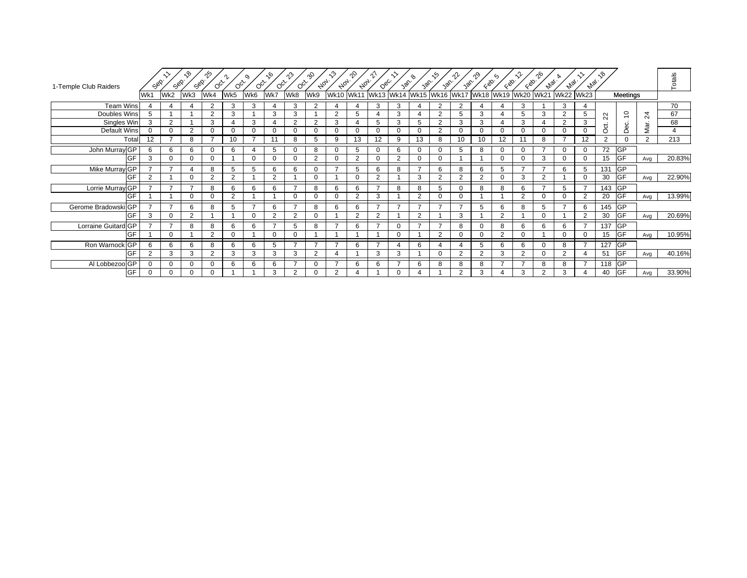| 1-Temple Club Raiders |          | Sep.           | ৻ঌ<br>Sep.     | ೡ<br>Sep.<br>$O_{Q_{\mathcal{F}}}$ | $O_{C_{\mathcal{F}}}$ | o,<br>$O_{Q_{\mathcal{F}}}$ | ᡕᢀ<br>$O_{Q_{\mathcal{F}}}$ | ကို<br>$O_{C_{Y}}$ | aS<br>$A_{0_{7}}.$ | $\kappa$<br>$A_{0_{7}}.$ | _ջ<br>$A_{0_{7}}.$ | $Q_{\mathcal{S}_{\mathcal{C}}}$ | 386            | 30 <sup>6</sup> | .რ<br>386                | าใ≁<br>Jan.    | ^<br>$\zeta_{\mathcal{D}}$ | $\zeta$<br>$\zeta_{\mathcal{D}}$ | EQO.                                                             | ᠭᢀ<br>$e_{V_{\mathcal{Q}_{\ell}}}$ | $A_{VQ_{\ell}}.$ | $A_{VQ_{\ell}}.$ | $\sim$           |                |                | Totals |
|-----------------------|----------|----------------|----------------|------------------------------------|-----------------------|-----------------------------|-----------------------------|--------------------|--------------------|--------------------------|--------------------|---------------------------------|----------------|-----------------|--------------------------|----------------|----------------------------|----------------------------------|------------------------------------------------------------------|------------------------------------|------------------|------------------|------------------|----------------|----------------|--------|
|                       | Wk1      | Wk2            | Wk3            | Wk4                                | Wk5                   | Wk6                         | Wk7                         | Wk8                | Wk9                | <b>Wk10</b>              |                    |                                 |                |                 |                          |                |                            |                                  | Wk11  Wk13  Wk14  Wk15  Wk16  Wk17  Wk18  Wk19  Wk20  Wk21  Wk22 |                                    |                  | <b>Wk23</b>      |                  | Meetings       |                |        |
| <b>Team Wins</b>      |          |                |                |                                    | 3                     | 3                           |                             | 3                  | $\overline{2}$     |                          |                    | 3                               | 3              |                 | $\overline{2}$           |                |                            |                                  | 3                                                                |                                    | 3                | 4                |                  |                |                | 70     |
| Doubles Wins          | 5        |                |                | $\Omega$                           | 3                     |                             | 3                           | 3                  |                    | $\overline{2}$           | 5                  | $\boldsymbol{\varDelta}$        | 3              |                 | $\overline{2}$           |                | 3                          |                                  | 5                                                                | 3                                  | 2                | 5                | $\sim$<br>$\sim$ | $\overline{c}$ | 24             | 67     |
| Singles Win           | 3        | 2              |                | 3                                  |                       | 3                           |                             | $\overline{2}$     | 2                  | 3                        |                    | 5                               | 3              | 5               | $\overline{2}$           | 3              | 3                          |                                  | 3                                                                |                                    | $\overline{2}$   | 3                | ಕ                | Dec.           | Mar.           | 68     |
| Default Wins          | $\Omega$ | $\Omega$       | $\overline{2}$ | $\Omega$                           | $\Omega$              | O                           | $\Omega$                    | $\Omega$           | 0                  | $\Omega$                 | $\Omega$           | $\Omega$                        | $\Omega$       | $\Omega$        | $\overline{2}$           |                | $\Omega$                   | $\Omega$                         | $\Omega$                                                         | $\Omega$                           | $\Omega$         | $\Omega$         | $\circ$          |                |                | 4      |
| Total                 | 12       |                | 8              |                                    | 10                    |                             | 11                          | 8                  | 5                  | 9                        | 13                 | 12                              | 9              | 13              | 8                        | 10             | 10                         | 12                               |                                                                  | 8                                  |                  | 12               | $\mathcal{D}$    | $\mathbf 0$    | $\overline{2}$ | 213    |
| John Murray GP        | 6        | 6              | 6              | $\Omega$                           | 6                     |                             | 5                           | $\Omega$           | 8                  | $\Omega$                 | 5                  | $\Omega$                        | 6              | $\Omega$        | $\mathbf 0$              |                | 8                          | $\Omega$                         | $\Omega$                                                         |                                    | $\Omega$         | $\mathbf 0$      | 72               | <b>GP</b>      |                |        |
| GF                    | 3        | $\Omega$       | $\Omega$       | $\Omega$                           |                       | $\Omega$                    | $\Omega$                    | $\Omega$           | 2                  | $\Omega$                 | 2                  | $\Omega$                        | 2              | $\Omega$        | $\Omega$                 |                |                            | $\Omega$                         | $\Omega$                                                         | 3                                  | $\Omega$         | $\Omega$         | 15               | <b>GF</b>      | Avg            | 20.83% |
| Mike Murray GP        |          |                | $\overline{4}$ | 8                                  | 5                     | 5                           | 6                           | 6                  | $\Omega$           | 7                        | 5                  | 6                               | 8              | $\overline{ }$  | 6                        | 8              | 6                          | 5                                | $\overline{ }$                                                   |                                    | 6                | 5                | 131              | <b>GP</b>      |                |        |
| GF                    |          |                | $\mathbf 0$    | $\overline{2}$                     | 2                     |                             | $\overline{2}$              |                    | 0                  |                          | 0                  | 2                               |                | 3               | $\overline{2}$           | 2              | 2                          | $\Omega$                         | 3                                                                | $\overline{2}$                     |                  | $\mathbf 0$      | 30               | <b>GF</b>      | Avg            | 22.90% |
| Lorrie Murray GP      |          |                | <u>т</u>       | 8                                  | 6                     | 6                           | 6                           | -                  | 8                  | 6                        | 6                  |                                 | 8              | 8               | 5                        |                | 8                          | 8                                | 6                                                                | $\overline{ }$                     | 5                | $\overline{7}$   | 143 GP           |                |                |        |
| <b>GF</b>             |          |                | $\Omega$       |                                    | 2                     |                             |                             | $\Omega$           | $\Omega$           | $\Omega$                 | $\sim$             | 3                               |                | $\mathcal{D}$   | $\Omega$                 |                |                            |                                  | 2                                                                | $\Omega$                           | $\Omega$         | $\overline{2}$   | 20               | GF             | Avg            | 13.99% |
| Gerome Bradowski GP   |          | $\overline{ }$ | 6              | 8                                  | 5                     |                             | 6                           | $\overline{ }$     | 8                  | 6                        | 6                  | $\rightarrow$                   | $\overline{z}$ | $\overline{ }$  | $\overline{ }$           | $\overline{ }$ | 5                          | 6                                | 8                                                                | 5                                  |                  | 6                | 145              | <b>GP</b>      |                |        |
|                       | 3        | 0              | $\overline{2}$ |                                    |                       |                             | $\overline{2}$              | 2                  | O                  |                          | $\sim$             | 2                               |                | 2               |                          | 3              |                            | $\overline{2}$                   |                                                                  | 0                                  |                  | 2                | 30               | <b>GF</b>      | Avg            | 20.69% |
| Lorraine Guitard GP   |          |                | 8              | 8                                  | 6                     | 6                           | –                           | 5                  | 8                  | $\overline{ }$           | 6                  |                                 | $\Omega$       | $\overline{ }$  | -                        | 8              | $\Omega$                   | 8                                | 6                                                                | 6                                  | 6                | $\overline{ }$   | 137              | <b>GP</b>      |                |        |
| GF                    |          | $\Omega$       |                | $\Omega$                           | $\Omega$              |                             | $\Omega$                    | $\Omega$           |                    |                          |                    |                                 | $\Omega$       |                 | $\overline{2}$           |                | 0                          | $\Omega$                         | $\Omega$                                                         |                                    | $\Omega$         | $\Omega$         | 15               | <b>GF</b>      | Avg            | 10.95% |
| Ron Warnock GP        | 6        | 6              | 6              | 8                                  | 6                     | 6                           | 5                           | $\overline{ }$     | $\rightarrow$      | $\overline{ }$           | 6                  | $\overline{ }$                  |                | 6               | $\overline{\phantom{a}}$ |                | 5                          | 6                                | 6                                                                | $\Omega$                           | 8                | $\overline{ }$   | 127              | <b>GP</b>      |                |        |
| <b>GF</b>             | $\Omega$ | 3              | 3              | $\mathcal{P}$                      | 3                     | 3                           | 3                           | 3                  | $\overline{2}$     |                          |                    | 3                               | 3              |                 | $\Omega$                 | $\Omega$       | 2                          | 3                                | 2                                                                | $\Omega$                           | 2                |                  | 51               | <b>GF</b>      | Avg            | 40.16% |
| Al Lobbezoo GP        |          | $\Omega$       | $\Omega$       | U                                  | 6                     | 6                           | 6                           |                    | $\Omega$           | $\overline{ }$           | 6                  | 6                               |                | 6               | 8                        | 8              | 8                          |                                  | $\overline{ }$                                                   | 8                                  | 8                |                  | 118 $GF$         |                |                |        |
| GF                    |          | 0              | 0              |                                    |                       |                             | 3                           | 2                  |                    | 2                        |                    |                                 |                |                 |                          | 2              | 3                          |                                  | 3                                                                | 2                                  | 3                |                  | 40               | <b>GF</b>      | Avg            | 33.90% |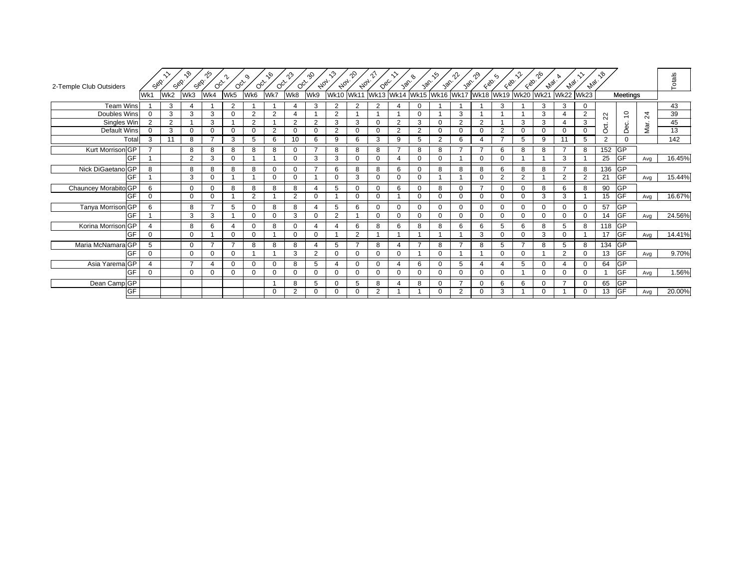| 2-Temple Club Outsiders     | Sep.           | Sep. | ৻ᡐ<br>Sep.     | ∱^<br>$\circ$ cinco      | $O_{C_{\mathcal{F}}}$ | o,<br>$O_{\tilde{Q}_{\tilde{V}}}$ | ᡕᢀ<br>$O_{Q_{\mathcal{F}}}$ | $\hat{\mathcal{V}}$<br>$O_{C_{\mathcal{F}}}$ | ·ஃ<br>$A_{0_{7}}.$ | $\mathcal{L}^{\mathcal{D}}$<br>Aloy. | _ծ<br>$A_{0_{7}}.$ | _ വ<br>Dec.                                  | $\sim$<br>386  | $\mathcal{P}$<br>30 <sup>6</sup> | ্∕∧<br>366     | rl<br>Jan. | $\zeta_{\otimes}.$ | ଚ<br>Kgo. | Eg.            | ᡙ<br><b>Max</b> . | $A_{VQ_{\ell}}.$         | <b>Max</b>     | ৲ზ                 |             |      | Totals |
|-----------------------------|----------------|------|----------------|--------------------------|-----------------------|-----------------------------------|-----------------------------|----------------------------------------------|--------------------|--------------------------------------|--------------------|----------------------------------------------|----------------|----------------------------------|----------------|------------|--------------------|-----------|----------------|-------------------|--------------------------|----------------|--------------------|-------------|------|--------|
|                             | Wk1            | Wk2  | Wk3            | Wk4                      | Wk5                   | Wk6                               | Wk7                         | Wk8                                          | Wk9                | <b>Wk10</b>                          |                    | Wk11 Wk13 Wk14 Wk15 Wk16 Wk17 Wk18 Wk19 Wk20 |                |                                  |                |            |                    |           |                | <b>Wk21</b>       | <b>Wk22</b>              | <b>Wk23</b>    |                    | Meetings    |      |        |
| <b>Team Wins</b>            |                | 3    | $\overline{4}$ |                          | $\overline{2}$        |                                   |                             | $\overline{4}$                               | 3                  | 2                                    | 2                  | 2                                            | 4              | $\Omega$                         |                |            |                    | 3         |                | 3                 | 3                        | 0              |                    |             |      | 43     |
| Doubles Wins                | $\Omega$       | 3    | 3              | 3                        | $\Omega$              | $\overline{2}$                    | 2                           | Δ                                            |                    | $\overline{2}$                       |                    |                                              |                | $\Omega$                         |                | 3          |                    |           |                | 3                 |                          | $\overline{2}$ | $\sim$<br>$\alpha$ | $\tilde{0}$ | 24   | 39     |
| Singles Win                 | $\overline{2}$ | 2    |                | 3                        |                       | $\overline{2}$                    |                             | 2                                            | $\overline{2}$     | 3                                    | 3                  | $\mathbf 0$                                  | $\overline{2}$ | 3                                | $\mathbf 0$    | 2          | 2                  |           | 3              | 3                 |                          | 3              | ಕ                  | Dec.        | Mar. | 45     |
| Default Wins                | $\Omega$       | 3    | 0              | $\Omega$                 | $\mathbf 0$           | $\Omega$                          | 2                           | 0                                            | 0                  | 2                                    | $\Omega$           | $\mathbf 0$                                  | $\overline{2}$ | 2                                | $\mathbf 0$    | $\Omega$   | 0                  | 2         | 0              | 0                 | 0                        | $\Omega$       | $\circ$            |             |      | 13     |
| Total                       | 3              | 11   | 8              |                          | 3                     | 5                                 | 6                           |                                              | 6                  | 9                                    | 6                  | 3                                            | 9              | 5                                | $\overline{2}$ | 6          | 4                  |           | 5              | 9                 | 11                       | 5              | $\overline{2}$     | $\Omega$    |      | 142    |
| Kurt Morrison <sup>GP</sup> |                |      | 8              | 8                        | 8                     | 8                                 | 8                           | $\Omega$                                     |                    | 8                                    | 8                  | 8                                            | $\overline{ }$ | 8                                | 8              |            | ⇁                  | 6         | 8              | 8                 |                          | 8              | 152                | <b>GP</b>   |      |        |
| <b>IGF</b>                  |                |      | $\overline{2}$ | 3                        | $\Omega$              |                                   |                             | $\Omega$                                     | 3                  | 3                                    | $\Omega$           | $\Omega$                                     |                | $\Omega$                         | $\Omega$       |            | $\Omega$           | ∩         |                |                   | 3                        |                | 25                 | <b>IGF</b>  | Avg  | 16.45% |
| Nick DiGaetano GP           | 8              |      | 8              | 8                        | 8                     | 8                                 | $\Omega$                    | $\Omega$                                     | -                  | 6                                    | 8                  | 8                                            | 6              | $\Omega$                         | 8              | 8          | 8                  | 6         | 8              | 8                 | $\overline{\phantom{a}}$ | 8              | 136                | <b>GP</b>   |      |        |
| GF                          |                |      | 3              | $\Omega$                 |                       |                                   | $\Omega$                    | $\Omega$                                     |                    |                                      | 3                  | $\Omega$                                     | $\Omega$       | O                                |                |            | $\Omega$           | ີ         | 2              |                   |                          | $\overline{2}$ | 21                 | GF          | Avg  | 15.44% |
| Chauncey Morabito GP        | 6              |      | $\Omega$       | ∩                        | 8                     | 8                                 | 8                           | 8                                            |                    | 5                                    | $\Omega$           | $\mathbf 0$                                  | 6              | 0                                | 8              | $\Omega$   | 7                  | $\Omega$  | $\Omega$       | 8                 | 6                        | 8              | 90                 | <b>GP</b>   |      |        |
| GF                          | $\Omega$       |      | $\Omega$       | $\Omega$                 |                       | $\overline{2}$                    |                             | $\overline{2}$                               | $\Omega$           |                                      | $\Omega$           | $\mathbf 0$                                  |                | $\Omega$                         | $\Omega$       | $\Omega$   | $\Omega$           | $\Omega$  | $\Omega$       | 3                 | 3                        |                | 15                 | <b>IGF</b>  | Avg  | 16.67% |
| Tanya Morrison GP           | 6              |      | 8              | $\overline{\phantom{a}}$ | 5                     | $\Omega$                          | 8                           | 8                                            | $\lambda$          | 5                                    | 6                  | $\mathbf 0$                                  | 0              | $\Omega$                         | $\mathbf 0$    | $\Omega$   | 0                  | $\Omega$  | $\mathbf{0}$   | $\mathbf 0$       | $\Omega$                 | 0              | 57                 | GP          |      |        |
| GF                          |                |      | 3              | 3                        |                       | $\Omega$                          | $\Omega$                    | 3                                            | $\Omega$           | 2                                    |                    | $\Omega$                                     | $\Omega$       | 0                                | $\Omega$       | $\Omega$   | $\Omega$           | $\Omega$  | $\Omega$       | $\Omega$          | n                        | $\Omega$       | 14                 | <b>GF</b>   | Avg  | 24.56% |
| Korina Morrison GP          | Δ              |      | 8              | 6                        | Δ                     |                                   | 8                           | $\Omega$                                     |                    | $\boldsymbol{\Delta}$                | 6                  | 8                                            | 6              | 8                                | 8              | 6          | 6                  | 5         | 6              | 8                 |                          | 8              | 118                | <b>GP</b>   |      |        |
| <b>GF</b>                   | $\Omega$       |      | $\Omega$       |                          | $\Omega$              | 0                                 |                             | $\Omega$                                     | $\Omega$           |                                      | $\Omega$           |                                              |                |                                  |                |            | 3                  |           | $\Omega$       | 3                 | ∩                        |                | 17                 | <b>GF</b>   | Avg  | 14.41% |
| Maria McNamara GP           | 5              |      | $\mathbf 0$    |                          | $\overline{ }$        | 8                                 | 8                           | 8                                            |                    | 5                                    |                    | 8                                            |                | $\overline{ }$                   | 8              |            | 8                  | .5        | $\overline{ }$ | 8                 |                          | 8              | 134                | <b>GP</b>   |      |        |
| <b>IGF</b>                  | $\Omega$       |      | $\Omega$       | $\Omega$                 | $\Omega$              |                                   |                             | 3                                            | 2                  | $\Omega$                             | $\Omega$           | $\mathbf 0$                                  | $\Omega$       |                                  | $\Omega$       |            |                    | $\Omega$  | $\Omega$       |                   | 2                        | $\Omega$       | 13                 | <b>GF</b>   | Avg  | 9.70%  |
| Asia Yarema <sub>GP</sub>   |                |      | $\overline{ }$ |                          | $\Omega$              | $\Omega$                          | $\Omega$                    | 8                                            | 5                  |                                      | 0                  | $\mathbf 0$                                  |                | 6                                | $\Omega$       | 5          | 4                  |           | 5              | 0                 |                          | $\Omega$       | 64                 | <b>GP</b>   |      |        |
| GF                          | $\Omega$       |      | $\mathbf 0$    | ∩                        | $\mathbf 0$           |                                   | $\Omega$                    | 0                                            | 0                  | $\Omega$                             |                    | $\mathbf 0$                                  | 0              | 0                                | 0              | 0          | 0                  | ∩         |                | $\Omega$          |                          | 0              |                    | <b>GF</b>   | Avg  | 1.56%  |
| Dean Camp <sub>GP</sub>     |                |      |                |                          |                       |                                   |                             | 8                                            | 5                  | $\Omega$                             | 5                  | 8                                            |                | 8                                | $\Omega$       |            | $\Omega$           | 6         | 6              | 0                 |                          | $\Omega$       | 65                 | <b>GP</b>   |      |        |
| GF                          |                |      |                |                          |                       |                                   | 0                           | 2                                            | 0                  | $\Omega$                             | 0                  | 2                                            |                |                                  | 0              | 2          | 0                  | 3         |                | 0                 |                          | 0              | 13                 | GF          | Avg  | 20.00% |
|                             |                |      |                |                          |                       |                                   |                             |                                              |                    |                                      |                    |                                              |                |                                  |                |            |                    |           |                |                   |                          |                |                    |             |      |        |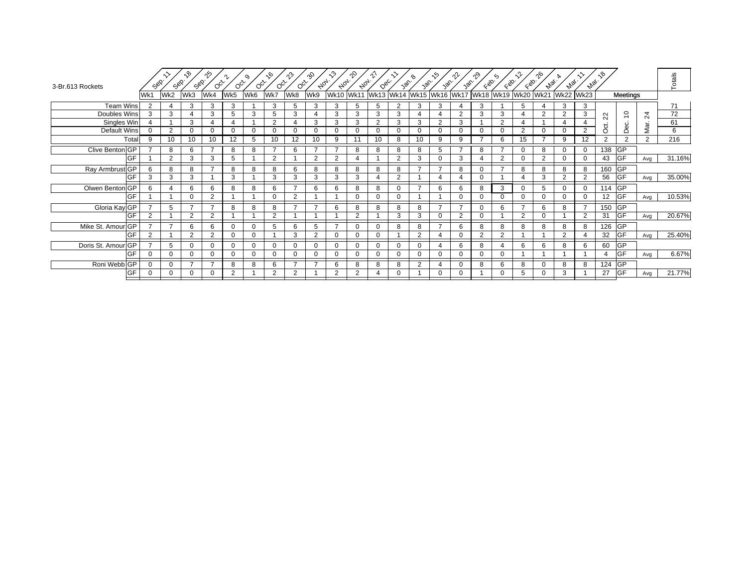| 3-Br.613 Rockets   | Sep.          | Sep.           | ৻ঌ<br>Sep.     | ∱^<br>$O_{Q_{\mathcal{F}}}$ | $O_{Q_{\mathcal{F}}}$ | o,<br>$O_{Q_{\mathcal{F}}}$ | $\sim$<br>$O_{Q_{\mathcal{F}}}$ | ကို<br>$O_{Q_{\mathcal{F}}}$ | ·ஃ<br>$A_{0_{7}}.$ | $\kappa$<br>$A_{0_{7}}$ | ∿°<br>$A_{0_{7}}.$ | $Q_{\mathcal{B}_{\mathcal{C}}}$ | 386           | van.           | .′າ<br>30 <sub>0</sub> | าใ≁<br>yan. | $\zeta_{\mathcal{D}}$ | ∽<br>$\zeta_{\mathcal{D}}$ | EQO.                                                   | ᠭᢀ<br><b>Max</b> | $A_{VQ_{\ell}}.$ | $z_{p_{\widetilde{Q}'}}$ | ್ಗಿ     |                |         | Totals |
|--------------------|---------------|----------------|----------------|-----------------------------|-----------------------|-----------------------------|---------------------------------|------------------------------|--------------------|-------------------------|--------------------|---------------------------------|---------------|----------------|------------------------|-------------|-----------------------|----------------------------|--------------------------------------------------------|------------------|------------------|--------------------------|---------|----------------|---------|--------|
|                    | Wk1           | Wk2            | Wk3            | Wk4                         | Wk5                   | Wk6                         | Wk7                             | Wk8                          | Wk9                |                         |                    |                                 |               |                |                        |             |                       |                            | Wk10 Wk11 Wk13 Wk14 Wk15 Wk16 Wk17 Wk18 Wk19 Wk20 Wk21 |                  | <b>Wk22</b>      | <b>Wk23</b>              |         | Meetings       |         |        |
| <b>Team Wins</b>   | $\mathcal{P}$ |                | 3              | 3                           | 3                     |                             | 3                               | 5                            | 3                  | 3                       | 5                  | 5                               | $\mathcal{P}$ | 3              | 3                      |             | 3                     |                            | 5                                                      |                  | 3                | 3                        |         |                |         | 71     |
| Doubles Wins       | 3             | 3              | $\overline{4}$ | 3                           | 5                     | 3                           | 5                               | 3                            |                    | 3                       | 3                  | 3                               | 3             | 4              | $\overline{4}$         | 2           | 3                     | 3                          | $\Delta$                                               | 2                | $\overline{2}$   | 3                        | 22      | $\tilde{=}$    | $^{24}$ | 72     |
| Singles Win        |               |                | 3              |                             | 4                     |                             | 2                               | 4                            | 3                  | 3                       | 3                  | $\overline{2}$                  | 3             | 3              | $\overline{2}$         | 3           |                       | $\overline{2}$             | 4                                                      |                  |                  |                          | ಕ       | Dec.           | Mar.    | 61     |
| Default Wins       | $\Omega$      | 2              | $\mathbf 0$    | $\Omega$                    | $\Omega$              |                             | 0                               | 0                            | 0                  | $\Omega$                | 0                  | 0                               | $\Omega$      | 0              | 0                      |             | $\Omega$              | $\Omega$                   | 2                                                      | $\Omega$         | $\Omega$         | 2                        | $\circ$ |                |         | 6      |
| Total              | 9             | 10             | 10             | 10                          | 12                    | 5                           | 10                              | 12                           | 10                 | 9                       |                    | 10                              | 8             | 10             | 9                      | 9           |                       | 6                          | 15                                                     |                  | 9                | 12                       | 2       | $\overline{2}$ | 2       | 216    |
| Clive Benton GP    |               | 8              | 6              |                             | 8                     | 8                           |                                 | 6                            |                    |                         | 8                  | 8                               | 8             | 8              | 5                      |             | 8                     |                            | $\Omega$                                               | 8                | 0                | $\mathbf 0$              | 138 GP  |                |         |        |
| <b>GF</b>          |               | 2              | 3              | 3                           | 5                     |                             | $\overline{2}$                  |                              | 2                  | $\overline{2}$          |                    |                                 | 2             | 3              | $\Omega$               | 3           | 4                     | $\overline{2}$             | $\Omega$                                               | 2                | $\Omega$         | $\Omega$                 | 43      | <b>GF</b>      | Avg     | 31.16% |
| Ray Armbrust GP    | 6             | 8              | 8              | $\overline{ }$              | 8                     | 8                           | 8                               | 6                            | 8                  | 8                       | 8                  | 8                               | 8             | $\overline{ }$ | $\overline{ }$         | 8           | $\Omega$              |                            | 8                                                      | 8                | 8                | 8                        | 160     | <b>GP</b>      |         |        |
| <b>GF</b>          | 3             | 3              | 3              |                             | 3                     |                             | 3                               | 3                            | 3                  | 3                       | 3                  | $\boldsymbol{\varDelta}$        | 2             |                |                        |             | 0                     |                            |                                                        | 3                | $\Omega$         | $\overline{2}$           | 56      | GF             | Avg     | 35.00% |
| Olwen Benton GP    | 6             |                | 6              | 6                           | 8                     | 8                           | 6                               |                              | 6                  | 6                       | 8                  | 8                               | ∩             | $\overline{ }$ | 6                      | 6           | 8                     | 3                          | $\Omega$                                               | 5                | $\Omega$         | $\Omega$                 | 114 GP  |                |         |        |
| GF                 |               |                | $\Omega$       | 2                           |                       |                             | $\mathbf{0}$                    | 2                            |                    |                         | $\Omega$           | $\Omega$                        | $\Omega$      |                |                        |             | $\Omega$              | $\Omega$                   | $\Omega$                                               | $\Omega$         | $\Omega$         | $\Omega$                 | 12      | <b>GF</b>      | Avg     | 10.53% |
| Gloria Kay GP      |               | 5              | $\overline{7}$ |                             | 8                     | 8                           | 8                               |                              |                    | 6                       | 8                  | 8                               | 8             | 8              | -7                     |             | $\Omega$              | 6                          | $\overline{ }$                                         | 6                | 8                | 7                        | 150 GP  |                |         |        |
| GF                 | $\Omega$      |                | $\overline{2}$ | $\overline{2}$              |                       |                             | 2                               |                              |                    |                         | $\Omega$           |                                 | 3             | 3              | $\Omega$               |             | $\Omega$              |                            | 2                                                      | $\Omega$         |                  | $\overline{2}$           | 31      | <b>GF</b>      | Avg     | 20.67% |
| Mike St. Amour GP  |               | $\overline{ }$ | 6              | 6                           | $\Omega$              | $\Omega$                    | 5                               | 6                            | 5                  | $\overline{ }$          | 0                  | $\Omega$                        | 8             | 8              | $\overline{ }$         | 6           | 8                     | 8                          | 8                                                      | 8                | 8                | 8                        | 126     | $G$ P          |         |        |
| GF                 | 2             |                | $\overline{2}$ | $\overline{2}$              | $\Omega$              |                             |                                 | 3                            | 2                  |                         | 0                  | $\mathbf 0$                     |               | 2              |                        |             | 2                     | $\overline{2}$             |                                                        |                  | $\overline{2}$   |                          | 32      | <b>GF</b>      | Avg     | 25.40% |
| Doris St. Amour GP |               | 5              | $\mathbf 0$    | $\Omega$                    | $\Omega$              |                             | $\Omega$                        | $\Omega$                     | $\Omega$           | $\Omega$                | 0                  | $\mathbf 0$                     | $\Omega$      | $\Omega$       | $\Delta$               | 6           | 8                     |                            | 6                                                      | 6                | 8                | 6                        | 60      | <b>GP</b>      |         |        |
| <b>GF</b>          | $\Omega$      | $\Omega$       | $\Omega$       | $\Omega$                    | $\Omega$              | O                           | $\Omega$                        | $\Omega$                     | $\Omega$           | $\Omega$                | 0                  | $\Omega$                        | $\Omega$      | $\Omega$       | $\mathbf 0$            |             | $\Omega$              | $\Omega$                   |                                                        |                  |                  |                          |         | <b>GF</b>      | Avg     | 6.67%  |
| Roni Webb GP       |               | $\Omega$       |                |                             | 8                     | 8                           | 6                               |                              |                    | 6                       | 8                  | 8                               | 8             | $\overline{2}$ |                        |             | 8                     | 6                          | 8                                                      | O                | 8                | 8                        | 124     | <b>GP</b>      |         |        |
| GF                 |               | 0              | 0              |                             | 2                     |                             | 2                               | 2                            |                    | $\overline{2}$          | $\Omega$           |                                 |               |                | $\mathbf 0$            |             |                       | 0                          | 5                                                      |                  | 3                |                          | 27      | <b>IGF</b>     | Avg     | 21.77% |
|                    |               |                |                |                             |                       |                             |                                 |                              |                    |                         |                    |                                 |               |                |                        |             |                       |                            |                                                        |                  |                  |                          |         |                |         |        |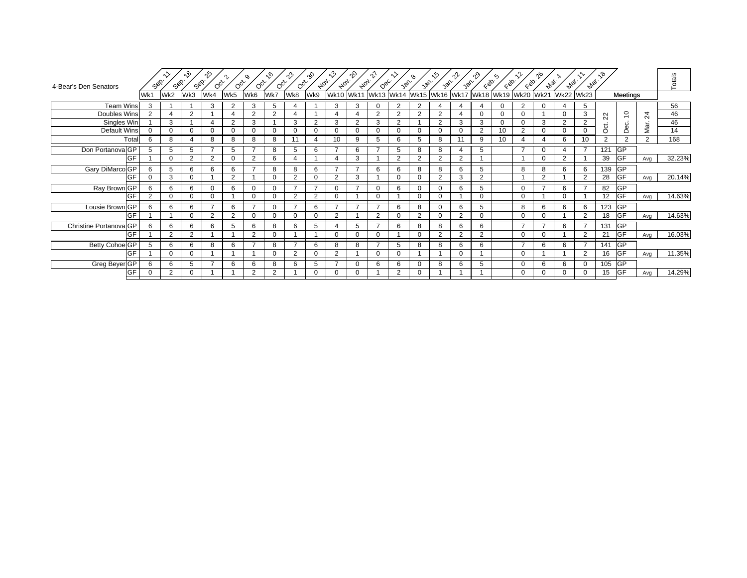| Wk11 Wk13 Wk14 Wk15 Wk16 Wk17 Wk18 Wk19 Wk20 Wk21<br>Wk5<br>Wk7<br>Wk8<br>Wk9<br><b>Wk22</b><br><b>Wk23</b><br>Wk1<br>Wk2<br>Wk3<br>Wk4<br>Wk6<br><b>Wk10</b><br>Meetings<br><b>Team Wins</b><br>5<br>5<br>56<br>3<br>2<br>3<br>3<br>2<br>2<br>2<br>3<br>3<br>$\Omega$<br>$\Omega$<br>$\Omega$<br>4<br>$\overline{4}$<br>4<br>4<br>3<br>$\overline{c}$<br>Doubles Wins<br>2<br>2<br>2<br>$\overline{2}$<br>46<br>2<br>$\overline{2}$<br>$\overline{2}$<br>2<br>4<br>$\Omega$<br>$\Omega$<br>$\Omega$<br>$\Omega$<br>$\overline{24}$<br>$\overline{4}$<br>$\boldsymbol{\varDelta}$<br>22<br>Singles Win<br>$\overline{2}$<br>3<br>2<br>3<br>3<br>$\overline{2}$<br>3<br>46<br>3<br>3<br>$\overline{2}$<br>3<br>$\overline{2}$<br>2<br>3<br>$\Omega$<br>$\Omega$<br>Mar.<br>Dec.<br>ಕ<br><b>Default Wins</b><br>2<br>14<br>$\mathbf 0$<br>10<br>2<br>$\Omega$<br>$\Omega$<br>0<br>$\Omega$<br>0<br>0<br>0<br>0<br>$\Omega$<br>$\Omega$<br>$\Omega$<br>$\Omega$<br>$\Omega$<br>0<br>$\Omega$<br>$\Omega$<br>$\circ$ | 4-Bear's Den Senators |
|------------------------------------------------------------------------------------------------------------------------------------------------------------------------------------------------------------------------------------------------------------------------------------------------------------------------------------------------------------------------------------------------------------------------------------------------------------------------------------------------------------------------------------------------------------------------------------------------------------------------------------------------------------------------------------------------------------------------------------------------------------------------------------------------------------------------------------------------------------------------------------------------------------------------------------------------------------------------------------------------------------------|-----------------------|
|                                                                                                                                                                                                                                                                                                                                                                                                                                                                                                                                                                                                                                                                                                                                                                                                                                                                                                                                                                                                                  |                       |
|                                                                                                                                                                                                                                                                                                                                                                                                                                                                                                                                                                                                                                                                                                                                                                                                                                                                                                                                                                                                                  |                       |
|                                                                                                                                                                                                                                                                                                                                                                                                                                                                                                                                                                                                                                                                                                                                                                                                                                                                                                                                                                                                                  |                       |
|                                                                                                                                                                                                                                                                                                                                                                                                                                                                                                                                                                                                                                                                                                                                                                                                                                                                                                                                                                                                                  |                       |
|                                                                                                                                                                                                                                                                                                                                                                                                                                                                                                                                                                                                                                                                                                                                                                                                                                                                                                                                                                                                                  |                       |
| 168<br>$\overline{2}$<br>10<br>$\overline{2}$<br>Total<br>8<br>8<br>8<br>8<br>11<br>10<br>9<br>5<br>6<br>8<br>9<br>10<br>6<br>$\overline{2}$<br>6<br>8<br>5<br>11<br>$\overline{4}$<br>4                                                                                                                                                                                                                                                                                                                                                                                                                                                                                                                                                                                                                                                                                                                                                                                                                         |                       |
| <b>GP</b><br>Don Portanova GP<br>$\overline{ }$<br>121<br>5<br>5<br>5<br>8<br>6<br>$\overline{ }$<br>6<br>5<br>8<br>8<br>5<br>7<br>5<br>$\Omega$                                                                                                                                                                                                                                                                                                                                                                                                                                                                                                                                                                                                                                                                                                                                                                                                                                                                 |                       |
| $\overline{GF}$<br>32.23%<br><b>GF</b><br>39<br>2<br>$\Omega$<br>6<br>$\mathcal{P}$<br>2<br>$\overline{2}$<br>$\mathcal{P}$<br>2<br>$\Omega$<br>$\Omega$<br>2<br>3<br>$\Omega$<br>Δ<br>Avg                                                                                                                                                                                                                                                                                                                                                                                                                                                                                                                                                                                                                                                                                                                                                                                                                       |                       |
| Gary DiMarco GP<br><b>GP</b><br>5<br>8<br>6<br>139<br>6<br>6<br>6<br>6<br>8<br>6<br>$\overline{7}$<br>6<br>8<br>8<br>5<br>8<br>8<br>6<br>6                                                                                                                                                                                                                                                                                                                                                                                                                                                                                                                                                                                                                                                                                                                                                                                                                                                                       |                       |
| <b>GF</b><br>20.14%<br>GF<br>2<br>28<br>3<br>$\overline{2}$<br>$\overline{2}$<br>$\overline{2}$<br>3<br>$\overline{2}$<br>◠<br>$\overline{2}$<br>0<br>U<br>0<br>ີ<br>Avg                                                                                                                                                                                                                                                                                                                                                                                                                                                                                                                                                                                                                                                                                                                                                                                                                                         |                       |
| <b>GP</b><br>Ray Brown GP<br>82<br>6<br>$\overline{ }$<br>6<br>6<br>$\Omega$<br>$\overline{ }$<br>6<br>5<br>$\Omega$<br>$\overline{\phantom{a}}$<br>6<br>$\overline{7}$<br>6<br>$\Omega$<br>$\Omega$<br>$\Omega$<br>$\mathbf 0$<br>6<br>$\Omega$<br>O                                                                                                                                                                                                                                                                                                                                                                                                                                                                                                                                                                                                                                                                                                                                                            |                       |
| <b>GF</b><br>14.63%<br>2<br>GF<br>2<br>$\Omega$<br>$\Omega$<br>$\Omega$<br>$\overline{2}$<br>$\Omega$<br>$\Omega$<br>0<br>$\mathbf 0$<br>$\Omega$<br>$\Omega$<br>$\Omega$<br>12<br>$\Omega$<br>$\Omega$<br>Avg                                                                                                                                                                                                                                                                                                                                                                                                                                                                                                                                                                                                                                                                                                                                                                                                   |                       |
| Lousie Brown GP<br><b>GP</b><br>6<br>6<br>6<br>6<br>6<br>6<br>8<br>5<br>8<br>6<br>6<br>123<br>$\Omega$<br>$\overline{ }$<br>$\mathbf 0$<br>6<br>6                                                                                                                                                                                                                                                                                                                                                                                                                                                                                                                                                                                                                                                                                                                                                                                                                                                                |                       |
| <b>GF</b><br>14.63%<br>GF<br>2<br>$\overline{2}$<br>2<br>2<br>$\overline{2}$<br>18<br>$\mathbf 0$<br>$\overline{2}$<br>$\Omega$<br>0<br>0<br>$\mathbf 0$<br>$\Omega$<br>0<br>$\Omega$<br>$\Omega$<br>$\Omega$<br>O<br>Avg                                                                                                                                                                                                                                                                                                                                                                                                                                                                                                                                                                                                                                                                                                                                                                                        |                       |
| $\overline{\mathsf{GP}}$<br>Christine Portanova GP<br>$\overline{ }$<br>131<br>6<br>6<br>5<br>8<br>5<br>6<br>8<br>8<br>$\overline{ }$<br>$\overline{ }$<br>6<br>6<br>5<br>–<br>6<br>6<br>6<br>6<br>6                                                                                                                                                                                                                                                                                                                                                                                                                                                                                                                                                                                                                                                                                                                                                                                                             |                       |
| <b>IGF</b><br>16.03%<br>GF<br>$\overline{2}$<br>$\overline{2}$<br>$\overline{2}$<br>21<br>2<br>$\Omega$<br>0<br>2<br>0<br>0<br>O<br>Avg                                                                                                                                                                                                                                                                                                                                                                                                                                                                                                                                                                                                                                                                                                                                                                                                                                                                          |                       |
| <b>GP</b><br>Betty Cohoe GP<br>8<br>$\overline{ }$<br>$\overline{ }$<br>6<br>6<br>8<br>6<br>$\overline{ }$<br>6<br>8<br>-<br>5<br>8<br>8<br>6<br>6<br>141<br>8<br>6<br>6                                                                                                                                                                                                                                                                                                                                                                                                                                                                                                                                                                                                                                                                                                                                                                                                                                         |                       |
| <b>GF</b><br>11.35%<br>GF<br>$\overline{2}$<br>2<br>$\Omega$<br>$\Omega$<br>$\Omega$<br>$\overline{2}$<br>$\Omega$<br>$\Omega$<br>$\Omega$<br>16<br>$\Omega$<br>$\Omega$<br>Avg                                                                                                                                                                                                                                                                                                                                                                                                                                                                                                                                                                                                                                                                                                                                                                                                                                  |                       |
| $\sqrt{GP}$<br>Greg Beyer GP<br>8<br>6<br>6<br>6<br>6<br>6<br>6<br>5<br>$\overline{7}$<br>6<br>$\Omega$<br>8<br>6<br>5<br>6<br>105<br>6<br>5<br>0<br>$\Omega$<br>$\Omega$                                                                                                                                                                                                                                                                                                                                                                                                                                                                                                                                                                                                                                                                                                                                                                                                                                        |                       |
| <b>GF</b><br>14.29%<br>GF<br>2<br>15<br>2<br>0<br>0<br>2<br>0<br>0<br>$\Omega$<br>Avg                                                                                                                                                                                                                                                                                                                                                                                                                                                                                                                                                                                                                                                                                                                                                                                                                                                                                                                            |                       |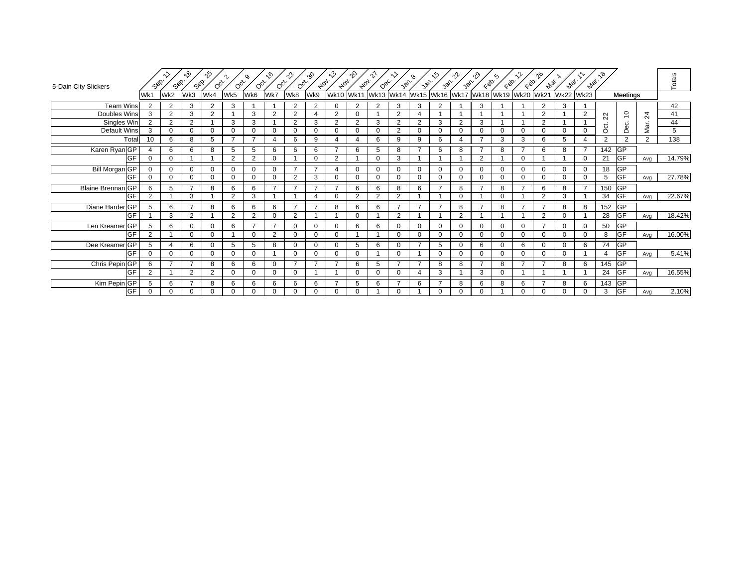| 5-Dain City Slickers      | Sep.           | Sop.           | $\mathcal{S}_{\lambda}$<br>Sep. | ౡ<br>$O_{Q_{\mathcal{F}}}$ | $O_{C_{\mathcal{F}}}$ | o,<br>$O_{Q_{\mathcal{F}}}$ | ৻৹<br>$O_{Q_{\mathcal{F}}}$ | $\hat{\gamma}$<br>$O_{Q_{\mathcal{F}}}$ | ⊹ያ<br>$A_{Q_{7}}.$ | $\kappa$<br>$A_{0_{7}}$  | $\gamma$<br>Aoy. | <u>∿</u><br>$Q_{\mathcal{B}_{\mathcal{C}}}$                | 30 <sub>0</sub> | ዔ<br>Jan.      | ্∕০<br>van i   | ∩∿<br>van. | $\zeta_{\otimes}$ | $\zeta$<br>$\zeta_{\infty}$ | EQO.           | ენ<br><b>Max</b> . | <b>Algi.</b>     | <b>Hai</b>     | ৲৩                     |                |                | Totals |
|---------------------------|----------------|----------------|---------------------------------|----------------------------|-----------------------|-----------------------------|-----------------------------|-----------------------------------------|--------------------|--------------------------|------------------|------------------------------------------------------------|-----------------|----------------|----------------|------------|-------------------|-----------------------------|----------------|--------------------|------------------|----------------|------------------------|----------------|----------------|--------|
|                           | Wk1            | Wk2            | Wk3                             | Wk4                        | Wk5                   | Wk6                         | Wk7                         | Wk8                                     | Wk9                |                          |                  | Wk10  Wk11  Wk13  Wk14  Wk15  Wk16  Wk17  Wk18  Wk19  Wk20 |                 |                |                |            |                   |                             |                | <b>Wk21</b>        | <b>Wk22 Wk23</b> |                |                        | Meetings       |                |        |
| <b>Team Wins</b>          | $\mathcal{P}$  | 2              | 3                               | $\mathcal{P}$              | 3                     |                             |                             | 2                                       | $\overline{2}$     | $\Omega$                 | 2                | 2                                                          | 3               | 3              | $\overline{2}$ |            | 3                 |                             |                | $\overline{2}$     | 3                |                |                        |                |                | 42     |
| Doubles Wins              | 3              | 2              | 3                               | 2                          |                       | 3                           | $\overline{2}$              | $\overline{2}$                          | 4                  | $\overline{2}$           | 0                |                                                            | $\overline{2}$  | 4              |                |            |                   |                             |                | $\overline{2}$     |                  | 2              | $\sim$<br>$\mathbf{N}$ | $\overline{c}$ | 24             | 41     |
| Singles Win               | $\overline{2}$ | 2              | $\overline{2}$                  |                            | 3                     | 3                           |                             | 2                                       | 3                  | $\overline{2}$           | 2                | 3                                                          | 2               | 2              | 3              | 2          | 3                 |                             |                | $\overline{2}$     |                  |                | ಕ                      | Dec.           | Mar.           | 44     |
| Default Wins              | 3              | 0              | $\mathbf 0$                     | $\Omega$                   | $\Omega$              | $\Omega$                    | $\Omega$                    | $\Omega$                                | 0                  | $\Omega$                 | 0                | $\Omega$                                                   | 2               | 0              | $\Omega$       | $\Omega$   | $\Omega$          | ∩                           | $\Omega$       | $\mathbf 0$        |                  | $\Omega$       | Ö                      |                |                | 5      |
| Total                     | 10             | 6              | 8                               | 5                          | ⇁                     |                             | 4                           | 6                                       | 9                  | $\overline{4}$           | Δ                | 6                                                          | 9               | 9              | 6              | Δ          |                   | 3                           | 3              | 6                  | 5                | 4              | $\overline{2}$         | 2              | $\overline{2}$ | 138    |
| Karen Ryan GP             |                | 6              | 6                               | 8                          | 5                     | 5                           | 6                           | 6                                       | 6                  | $\overline{\phantom{a}}$ | 6                | 5                                                          | 8               | 7              | 6              | 8          |                   | 8                           | ⇁              | 6                  | 8                |                | 142                    | <b>GP</b>      |                |        |
| GF                        |                | $\Omega$       |                                 |                            | $\Omega$              | 2                           | $\Omega$                    |                                         | 0                  | $\overline{2}$           |                  | $\Omega$                                                   | 3               |                |                |            | 2                 |                             | $\Omega$       |                    |                  | $\Omega$       | 21                     | <b>IGF</b>     | Avg            | 14.79% |
| <b>Bill Morgan GP</b>     |                | $\mathbf{0}$   | 0                               | 0                          | 0                     | 0                           | $\Omega$                    | $\overline{ }$                          | 7                  | $\overline{4}$           | 0                | $\mathbf 0$                                                | 0               | 0              | 0              | $\Omega$   | 0                 | $\Omega$                    | 0              | 0                  |                  | 0              | 18                     | <b>GP</b>      |                |        |
| GF                        | $\Omega$       | $\Omega$       | $\Omega$                        | $\Omega$                   | $\Omega$              | $\Omega$                    | $\Omega$                    | 2                                       | 3                  | $\Omega$                 | ŋ                | $\Omega$                                                   | $\Omega$        | 0              | $\Omega$       | $\Omega$   | $\Omega$          | $\Omega$                    | $\Omega$       | $\Omega$           |                  | $\Omega$       | 5                      | GF             | Avg            | 27.78% |
| Blaine Brennan GP         | 6              | 5              | $\overline{z}$                  | 8                          | 6                     | 6                           | $\overline{7}$              | $\overline{ }$                          | $\overline{7}$     | $\overline{7}$           | 6                | 6                                                          | 8               | 6              | $\overline{7}$ | 8          | $\overline{ }$    | 8                           | $\overline{ }$ | 6                  | 8                | $\overline{7}$ | 150                    | <b>GP</b>      |                |        |
| GF                        | $\overline{2}$ |                | 3                               |                            | 2                     | 3                           |                             |                                         |                    | $\mathbf 0$              | 2                | 2                                                          | $\overline{2}$  |                |                | $\Omega$   |                   | O                           |                | $\overline{2}$     | 3                |                | 34                     | <b>GF</b>      | Avg            | 22.67% |
| Diane Harder GP           | 5              | 6              | $\overline{z}$                  | 8                          | 6                     | 6                           | 6                           | $\overline{ }$                          | $\overline{ }$     | 8                        | 6                | 6                                                          | $\overline{ }$  | $\overline{ }$ | $\overline{7}$ | 8          | $\overline{ }$    | 8                           | $\overline{ }$ | $\overline{7}$     | 8                | 8              | 152                    | <b>GP</b>      |                |        |
| GF                        |                | 3              | $\overline{2}$                  |                            | 2                     | $\overline{2}$              | $\Omega$                    | 2                                       |                    |                          | 0                |                                                            | $\overline{2}$  |                |                | 2          |                   |                             |                | $\overline{2}$     | $\Omega$         |                | 28                     | <b>GF</b>      | Avg            | 18.42% |
| Len Kreamer <sup>GP</sup> | 5              | 6              | $\Omega$                        |                            | 6                     |                             | $\overline{ }$              | $\Omega$                                | $\Omega$           | $\Omega$                 | 6                | 6                                                          | $\Omega$        | 0              | $\Omega$       | $\Omega$   | $\Omega$          | ∩                           | $\Omega$       |                    |                  | $\Omega$       | 50                     | <b>GP</b>      |                |        |
| GF                        | $\overline{2}$ |                | $\Omega$                        |                            |                       | $\Omega$                    | $\overline{2}$              | $\Omega$                                | 0                  | 0                        |                  |                                                            | $\Omega$        |                | $\Omega$       | $\Omega$   | $\Omega$          | O                           | $\Omega$       | $\Omega$           |                  | $\Omega$       | 8                      | <b>GF</b>      | Avg            | 16.00% |
| Dee Kreamer <sup>GP</sup> | 5              | 4              | 6                               | $\Omega$                   | 5                     | 5                           | 8                           | 0                                       | $\mathbf 0$        | $\Omega$                 | 5                | 6                                                          | $\mathbf 0$     | $\overline{ }$ | 5              | $\Omega$   | 6                 | $\Omega$                    | 6              | $\mathbf 0$        | $\Omega$         | 6              | 74                     | <b>GP</b>      |                |        |
| GF                        | $\Omega$       | $\Omega$       | $\Omega$                        | $\Omega$                   | $\Omega$              | $\Omega$                    |                             | $\Omega$                                | $\Omega$           | $\Omega$                 | 0                |                                                            | $\Omega$        |                | $\Omega$       | $\Omega$   | $\Omega$          | $\Omega$                    | $\Omega$       | $\Omega$           |                  |                |                        | GF             | Avg            | 5.41%  |
| Chris Pepin GP            | 6              | $\overline{z}$ | $\overline{ }$                  | 8                          | 6                     | 6                           | $\Omega$                    | $\overline{ }$                          | $\overline{z}$     | $\overline{7}$           | 6                | 5                                                          | $\overline{ }$  | $\overline{ }$ | 8              | 8          | $\overline{ }$    | 8                           | $\overline{ }$ | $\overline{ }$     | 8                | 6              | 145                    | GP             |                |        |
| GF                        | $\overline{2}$ |                | $\overline{2}$                  | $\mathcal{P}$              | $\Omega$              | 0                           | $\Omega$                    | 0                                       |                    |                          | 0                | $\Omega$                                                   | 0               |                | 3              |            | 3                 | O                           |                |                    |                  |                | 24                     | <b>GF</b>      | Avg            | 16.55% |
| Kim Pepin GP              |                | 6              | $\overline{z}$                  | 8                          | 6                     | 6                           | 6                           | 6                                       | 6                  | $\overline{ }$           | 5                | 6                                                          | 7               | 6              | 7              | 8          | 6                 | 8                           | 6              | $\overline{ }$     | 8                | 6              | 143                    | <b>GP</b>      |                |        |
| GF                        | $\Omega$       | 0              | $\mathbf 0$                     |                            | $\Omega$              | $\Omega$                    | $\Omega$                    | 0                                       | $\Omega$           | $\Omega$                 | 0                |                                                            | $\Omega$        |                | $\Omega$       | $\Omega$   | $\mathbf 0$       |                             | $\Omega$       | $\Omega$           |                  | $\Omega$       | 3                      | <b>GF</b>      | Avg            | 2.10%  |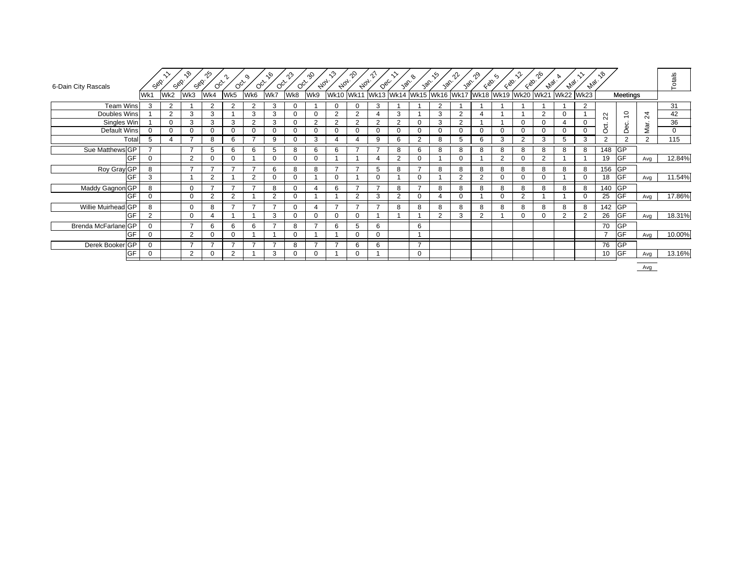| 6-Dain City Rascals | Sop.     | Sop.           | ᠷᡐ<br>Sep.     | ್ಗೊ           | $O_{C_{Y}}$    | $\circ$<br>$O_{C_{\mathcal{F}}}$ | $\sqrt{6}$<br>$O_{Q_{\mathcal{F}}}$ | $\hat{\gamma}$<br>$O_{Q_{\mathcal{F}}}$ | as<br>$A_{0_{7}}.$ | $\kappa$<br>$A_{0_{7}}$ | ᡐ<br>$A_{0_{7}}$ | $Q_{\mathcal{B}_{\mathcal{C}}}$ | 30 <sup>6</sup> | ዔ<br>30 <sup>2</sup>     | .∿<br>30 <sup>6</sup> | 326      | ू⊗.      | $\gamma$<br>680 | $\zeta_{\mathcal{D}}$ | ηĢ<br>$A_{\varphi_{\mathcal{C}}}$ | $\mathscr{P}_{\mathscr{A}_\ell}.$ | $A_{\mathcal{Q}_{\ell}}.$ | ৣঽ               |             |               | Totals       |
|---------------------|----------|----------------|----------------|---------------|----------------|----------------------------------|-------------------------------------|-----------------------------------------|--------------------|-------------------------|------------------|---------------------------------|-----------------|--------------------------|-----------------------|----------|----------|-----------------|-----------------------|-----------------------------------|-----------------------------------|---------------------------|------------------|-------------|---------------|--------------|
|                     | Wk1      | Wk2            | Wk3            | Wk4           | Wk5            | Wk6                              | Wk7                                 | Wk8                                     | Wk9                | <b>Wk10</b>             | <b>Wk11</b>      |                                 |                 | Wk13 Wk14 Wk15 Wk16 Wk17 |                       |          |          |                 | Wk18 Wk19 Wk20 Wk21   |                                   | <b>Wk22 Wk23</b>                  |                           |                  | Meetings    |               |              |
| <b>Team Wins</b>    | 3        | 2              |                | 2             | 2              | っ                                | 3                                   |                                         |                    | 0                       |                  | 3                               |                 |                          | 2                     |          |          |                 |                       |                                   |                                   | 2                         |                  |             |               | 31           |
| Doubles Wins        |          | $\overline{2}$ | 3              | 3             |                | 3                                | 3                                   |                                         | $\Omega$           | $\overline{2}$          | 2                | 4                               | 3               |                          | 3                     | 2        |          |                 |                       | $\overline{2}$                    | 0                                 |                           | $\sim$<br>$\sim$ | $\tilde{=}$ | ↴<br>$\alpha$ | 42           |
| Singles Win         |          | $\Omega$       | 3              | 3             | 3              | 2                                | 3                                   |                                         | 2                  | $\overline{2}$          | 2                | 2                               | $\overline{2}$  | $\Omega$                 | 3                     | 2        |          |                 | $\Omega$              | $\Omega$                          | 4                                 | $\mathbf 0$               |                  | Dec.        |               | 36           |
| Default Wins        | $\Omega$ | 0              | 0              | $\mathbf 0$   | $\Omega$       |                                  | $\mathbf 0$                         |                                         | 0                  | 0                       |                  | 0                               | 0               | $\Omega$                 |                       | 0        | $\Omega$ |                 | $\mathbf 0$           | $\Omega$                          | 0                                 | $\mathbf 0$               | ğ                |             | Mar.          | $\mathbf{0}$ |
| Total               | 5        | 4              | –              | 8             | 6              |                                  | 9                                   |                                         | 3                  | 4                       |                  | 9                               | 6               | 2                        | 8                     | 5        | 6        | 3               | 2                     | 3                                 | 5                                 | 3                         | $\mathbf{2}$     | 2           | 2             | 115          |
| Sue Matthews GP     |          |                | $\overline{ }$ | 5             | 6              | 6                                | 5                                   |                                         | 6                  | 6                       |                  |                                 | 8               | 6                        | 8                     | 8        | 8        | 8               | 8                     | 8                                 | 8                                 | 8                         | 148 GP           |             |               |              |
| <b>IGF</b>          | $\Omega$ |                | 2              | $\Omega$      | $\Omega$       |                                  | $\Omega$                            |                                         | $\Omega$           |                         |                  |                                 | 2               | $\Omega$                 |                       | $\Omega$ |          | C               | $\mathbf 0$           | $\overline{2}$                    |                                   |                           | 19               | <b>GF</b>   | Avg           | 12.84%       |
| Roy Gray GP         | 8        |                | $\overline{ }$ |               | $\overline{ }$ |                                  | 6                                   |                                         | 8                  |                         |                  | 5                               | 8               | $\overline{ }$           | 8                     | 8        | 8        | R               | 8                     | 8                                 | 8                                 | 8                         | 156              | <b>GP</b>   |               |              |
| <b>IGF</b>          | 3        |                |                | 2             |                | $\Omega$                         | $\mathbf 0$                         |                                         |                    | $\mathbf 0$             |                  | $\Omega$                        |                 | $\Omega$                 |                       | 2        | 2        |                 | $\mathbf 0$           | $\Omega$                          |                                   | $\Omega$                  | 18               | <b>GF</b>   | Avg           | 11.54%       |
| Maddy Gagnon GP     | 8        |                | $\mathbf 0$    | $\rightarrow$ | $\overline{ }$ |                                  | 8                                   |                                         |                    | 6                       | $\overline{ }$   | $\overline{ }$                  | 8               | $\overline{ }$           | 8                     | 8        | 8        | 8               | 8                     | 8                                 | 8                                 | 8                         | 140              | <b>GP</b>   |               |              |
| <b>GF</b>           | $\Omega$ |                | 0              | 2             | 2              |                                  | 2                                   |                                         |                    |                         | $\mathcal{P}$    | 3                               | $\overline{2}$  | $\Omega$                 |                       | 0        |          |                 | 2                     |                                   |                                   | $\Omega$                  | 25               | GF          | Avg           | 17.86%       |
| Willie Muirhead GP  | 8        |                | $\mathbf 0$    | 8             | $\overline{ }$ |                                  | -                                   |                                         |                    |                         | $\overline{ }$   |                                 | 8               | 8                        | 8                     | 8        | 8        | 8               | 8                     | 8                                 | 8                                 | 8                         | 142              | <b>GP</b>   |               |              |
| $\sim$ $\sim$       | $\Omega$ |                | $\mathbf 0$    |               |                |                                  | 3                                   |                                         | $\Omega$           | $\mathbf 0$             | $\Omega$         |                                 |                 |                          | 2                     | 3        | 2        |                 | $\Omega$              | $\Omega$                          | 2                                 | $\overline{2}$            | 26               | GF          | Avg           | 18.31%       |
| Brenda McFarlane GP | $\Omega$ |                | $\overline{ }$ | 6             | 6              | 6                                | $\overline{ }$                      | 8                                       | $\overline{ }$     | 6                       |                  | 6                               |                 | 6                        |                       |          |          |                 |                       |                                   |                                   |                           | 70               | <b>GP</b>   |               |              |
| <b>IGF</b>          | 0        |                | 2              | $\Omega$      |                |                                  |                                     |                                         |                    |                         |                  | 0                               |                 |                          |                       |          |          |                 |                       |                                   |                                   |                           |                  | <b>GF</b>   | Avg           | 10.00%       |
| Derek Booker GP     | $\Omega$ |                | $\rightarrow$  |               | $\overline{ }$ |                                  | -                                   | 8                                       |                    |                         | 6                | 6                               |                 | $\overline{ }$           |                       |          |          |                 |                       |                                   |                                   |                           | 76               | <b>GP</b>   |               |              |
| <b>GF</b>           |          |                | $\overline{2}$ |               | 0              |                                  | 3                                   |                                         |                    |                         |                  |                                 |                 | $\Omega$                 |                       |          |          |                 |                       |                                   |                                   |                           | 10               | <b>GF</b>   | Avg           | 13.16%       |
|                     |          |                |                |               |                |                                  |                                     |                                         |                    |                         |                  |                                 |                 |                          |                       |          |          |                 |                       |                                   |                                   |                           |                  |             |               |              |

Avg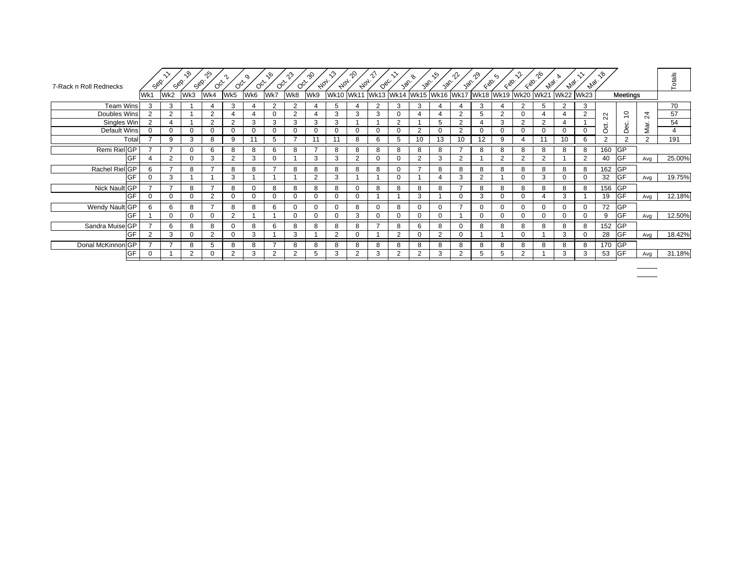| 7-Rack n Roll Rednecks | ج<br>ج         | Sop.     | ್ಗಿ<br>Sep.    | ∱^<br>$O_{Q_{\mathcal{F}}}$ | $O_{C_{\mathcal{F}}}$ | $O_{Q_{\mathcal{F}}}$ | $\sqrt{6}$<br>$O_{Q_{\mathcal{F}}}$ | $\hat{\mathcal{V}}$<br>$O_{Q_{\mathcal{F}}}$ | Qo<br>$A_{0_{7}}.$ | ∿°<br>$A_{0_{7}}$ | ᡐ<br>$A_{0_{7}}.$ | $Q_{\mathcal{C}_C}$ | vor.           | $\sqrt{\delta}$          | .∽<br>30 <sup>6</sup> | าใ≁<br>30 <sup>2</sup> | $\zeta_{\mathcal{D}}$ | $\zeta_{\mathcal{D}}$ | $\zeta_{\mathcal{D}_0}$ | ൟ<br>$e_{V_{\mathcal{Q}_{\ell}}}$ | $A_{\varphi_{\ell}}.$ | $A_{\varphi_{\ell}}.$ | ৲৩                     |                 |                 | Totals |
|------------------------|----------------|----------|----------------|-----------------------------|-----------------------|-----------------------|-------------------------------------|----------------------------------------------|--------------------|-------------------|-------------------|---------------------|----------------|--------------------------|-----------------------|------------------------|-----------------------|-----------------------|-------------------------|-----------------------------------|-----------------------|-----------------------|------------------------|-----------------|-----------------|--------|
|                        | Wk1            | Wk2      | Wk3            | Wk4                         | Wk5                   | Wk6                   | Wk7                                 | Wk8                                          | Wk9                | <b>Wk10</b>       |                   |                     |                | Wk11 Wk13 Wk14 Wk15 Wk16 |                       |                        | Wk17 Wk18 Wk19 Wk20   |                       |                         | <b>Wk21</b>                       | <b>Wk22</b>           | <b>Wk23</b>           |                        | Meetings        |                 |        |
| <b>Team Wins</b>       | 3              | 3        |                |                             | 3                     |                       | 2                                   | $\overline{2}$                               |                    | 5                 |                   | 2                   | 3              | 3                        |                       |                        | 3                     |                       | 2                       | 5                                 | $\mathcal{P}$         | 3                     |                        |                 |                 | 70     |
| Doubles Wins           | $\overline{2}$ | 2        |                | $\Omega$                    |                       |                       | 0                                   | 2                                            |                    | 3                 | 3                 | 3                   | 0              |                          |                       | $\Omega$               | 5                     | ີ                     | $\Omega$                |                                   |                       | 2                     | $\sim$<br>$\mathbf{N}$ | $\overline{C}$  | $\overline{24}$ | 57     |
| Singles Win            | $\overline{2}$ | 4        |                | $\overline{2}$              | 2                     | 3                     | 3                                   | 3                                            | 3                  | 3                 |                   |                     | $\overline{2}$ |                          | 5                     | 2                      | 4                     | 3                     | 2                       | 2                                 |                       |                       | ಕ                      | Dec.            |                 | 54     |
| <b>Default Wins</b>    |                | $\Omega$ | $\Omega$       |                             | $\Omega$              | $\Omega$              | $\Omega$                            | $\Omega$                                     | 0                  |                   | 0                 | 0                   | $\Omega$       | $\overline{2}$           | 0                     | 2                      | $\Omega$              | $\Omega$              | $\Omega$                | $\Omega$                          | $\Omega$              | $\Omega$              | Ō                      |                 | Mar.            | 4      |
| Total                  |                | 9        | 3              | 8                           | 9                     | 11                    | 5                                   |                                              | 11                 | 11                | 8                 | 6                   | 5              | 10                       | 13                    | 10                     | $12 \overline{ }$     | 9                     | 4                       | 11                                | 10                    | 6                     | 2                      | 2               | 2               | 191    |
| Remi Riel GP           |                |          | $\Omega$       | 6                           | 8                     | 8                     | 6                                   | 8                                            |                    | 8                 | 8                 | 8                   | 8              | 8                        | 8                     |                        | 8                     | 8                     | 8                       | 8                                 | 8                     | 8                     | 160 GP                 |                 |                 |        |
| GF                     |                | 2        |                | 3                           | $\overline{2}$        | 3                     | n                                   |                                              | 3                  | 3                 | ◠                 | $\Omega$            |                | 2                        | 3                     | റ                      |                       | ີ                     | 2                       | 2                                 |                       | $\mathcal{P}$         | 40                     | GF              | Avg             | 25.00% |
| Rachel Riel GP         | 6              |          | 8              |                             | 8                     | 8                     | $\overline{ }$                      | 8                                            | 8                  | 8                 | 8                 | 8                   | ∩              | $\overline{\phantom{a}}$ | 8                     | 8                      | 8                     | 8                     | 8                       | 8                                 | 8                     | 8                     | 162                    | <b>GP</b>       |                 |        |
| GF                     |                | 3        |                |                             | 3                     |                       |                                     |                                              | $\overline{2}$     | 3                 |                   |                     | $\Omega$       |                          | $\overline{4}$        | 3                      | $\overline{2}$        |                       |                         | 3                                 | $\Omega$              | $\Omega$              | 32                     | <b>GF</b>       | Avg             | 19.75% |
| Nick Nault GP          |                | ⇁        | 8              | -                           | 8                     |                       | 8                                   | 8                                            | 8                  | 8                 | $\Omega$          | 8                   | 8              | 8                        | 8                     | $\overline{ }$         | 8                     | 8                     | 8                       | 8                                 | 8                     | 8                     | 156                    | <b>GP</b>       |                 |        |
| GF                     |                | 0        | 0              | ◠                           | 0                     |                       | $\Omega$                            | 0                                            | 0                  |                   | 0                 |                     |                | 3                        |                       |                        | 3                     | $\Omega$              | $\Omega$                |                                   | 3                     |                       | 19                     | <b>GF</b>       | Avg             | 12.18% |
| Wendy Nault GP         | 6              | 6        | 8              | $\overline{ }$              | 8                     | 8                     | 6                                   | $\Omega$                                     | $\Omega$           | $\Omega$          | 8                 | $\mathbf 0$         | 8              | $\Omega$                 | $\mathbf 0$           | $\overline{ }$         | 0                     | $\Omega$              | $\Omega$                | $\Omega$                          | $\Omega$              | $\mathbf 0$           | 72                     | $\overline{G}P$ |                 |        |
| <b>GF</b>              |                | $\Omega$ | $\Omega$       |                             | 2                     |                       |                                     | $\Omega$                                     | $\Omega$           | $\Omega$          | 3                 | $\mathbf 0$         | $\Omega$       | $\Omega$                 | $\mathbf 0$           |                        | $\Omega$              | $\Omega$              | $\Omega$                | $\Omega$                          | $\Omega$              | $\Omega$              | 9                      | <b>GF</b>       | Avg             | 12.50% |
| Sandra Muise GP        |                | 6        | 8              | 8                           | $\Omega$              | 8                     | 6                                   | 8                                            | 8                  | 8                 | 8                 |                     | 8              | 6                        | 8                     |                        | 8                     | 8                     | 8                       | 8                                 | 8                     | 8                     | 152 GP                 |                 |                 |        |
| GF                     |                | 3        |                | $\mathcal{P}$               | $\Omega$              | 3                     |                                     | 3                                            |                    | $\overline{2}$    | 0                 |                     | 2              | 0                        | $\overline{2}$        |                        |                       |                       | $\Omega$                |                                   | 3                     | $\Omega$              | 28                     | <b>GF</b>       | Avg             | 18.42% |
| Donal McKinnon GP      |                |          | 8              | 5                           | 8                     | 8                     | $\overline{ }$                      | 8                                            | 8                  | 8                 | 8                 | 8                   | 8              | 8                        | 8                     | 8                      | 8                     | 8                     | 8                       | 8                                 | 8                     | 8                     | 170                    | <b>GP</b>       |                 |        |
| GF                     |                |          | $\overline{2}$ |                             | $\overline{2}$        | 3                     | $\overline{2}$                      | $\overline{2}$                               | 5                  | 3                 | $\Omega$          | 3                   | $\overline{2}$ | 2                        | 3                     | 2                      | 5                     | 5                     | $\overline{2}$          |                                   | 3                     | 3                     | 53                     | <b>GF</b>       | Avg             | 31.18% |
|                        |                |          |                |                             |                       |                       |                                     |                                              |                    |                   |                   |                     |                |                          |                       |                        |                       |                       |                         |                                   |                       |                       |                        |                 |                 |        |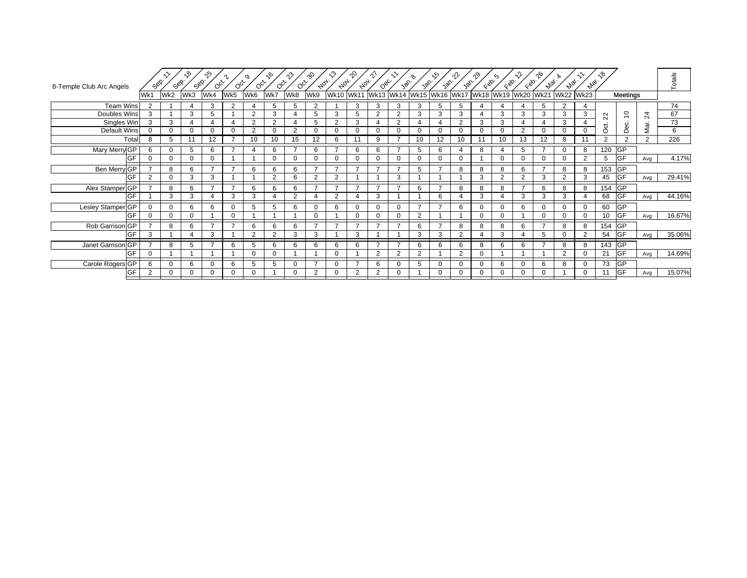| 8-Temple Club Arc Angels | Sep.     | Sep.     | ৲ঔ<br>Sep.  | ೡ<br>$O_{Q_{\mathcal{F}}}$ | $O_{Q_{\mathcal{F}}}$ | o,<br>$O_{Q_{\mathcal{F}}}$ | $\sqrt{6}$<br>$O_{Q_{\mathcal{F}}}$ | $\hat{\mathcal{V}}$<br>$O_{C_{Y}}$ | ጭ<br>$A_{0_{7}}.$ | $\kappa^2$<br>$A_{0_{7}}$     | ∿°<br>$A_{0_{7}}.$ | $Q_{\mathcal{B}_{C}}$ | 30 <sup>6</sup> | van. | ৻ঌ<br>30 <sub>0</sub> | าใ≁<br>30 <sup>6</sup> | ೡ<br>$\zeta_{\mathcal{D}}$ | ∽<br>$\zeta_{\mathcal{D}}$    | EQO.           | ഹ്<br>$A_{\text{VQ}}$ | $A_{\varphi_{\ell}}.$ | $A_{VQ_{\ell}}.$ | ್ಗಿ                    |                          |                 | Totals |
|--------------------------|----------|----------|-------------|----------------------------|-----------------------|-----------------------------|-------------------------------------|------------------------------------|-------------------|-------------------------------|--------------------|-----------------------|-----------------|------|-----------------------|------------------------|----------------------------|-------------------------------|----------------|-----------------------|-----------------------|------------------|------------------------|--------------------------|-----------------|--------|
|                          | Wk1      | Wk2      | Wk3         | Wk4                        | Wk5                   | Wk6                         | Wk7                                 | Wk8                                | Wk9               | Wk10 Wk11 Wk13 Wk14 Wk15 Wk16 |                    |                       |                 |      |                       |                        |                            | Wk17 Wk18 Wk19 Wk20 Wk21 Wk22 |                |                       |                       | <b>Wk23</b>      |                        | Meetings                 |                 |        |
| <b>Team Wins</b>         |          |          |             | 3                          | 2                     |                             | $5^{\circ}$                         | 5                                  | 2                 |                               | 3                  | 3                     | 3               | 3    | 5                     |                        | 4                          |                               |                | 5                     | 2                     | 4                |                        |                          |                 | 74     |
| Doubles Wins             | 3        |          | 3           | 5                          |                       | 2                           | 3                                   | 4                                  | 5                 | 3                             | 5                  | 2                     | 2               | 3    | 3                     | 3                      | 4                          | 3                             | 3              | 3                     | 3                     | 3                | $\sim$<br>$\mathbf{N}$ | $\overline{c}$           | $\overline{24}$ | 67     |
| Singles Win              | 3        | 3        |             |                            | 4                     | 2                           | 2                                   | 4                                  | 5                 | $\overline{2}$                | 3                  | $\overline{4}$        | 2               | 4    | $\overline{4}$        | 2                      | 3                          | 3                             | 4              |                       | 3                     |                  | ಕ                      | Dec.                     | Mar.            | 73     |
| Default Wins             | $\Omega$ | 0        | $\mathbf 0$ |                            | 0                     | 2                           | $\Omega$                            | 2                                  | 0                 | $\Omega$                      | 0                  | 0                     |                 | 0    | 0                     |                        | 0                          | $\Omega$                      | 2              | $\Omega$              | $\Omega$              | $\Omega$         | $\circ$                |                          |                 | 6      |
| Total                    | 8        | 5        | 11          | 12 <sup>2</sup>            |                       | 10                          | 10                                  | 15                                 | 12                | 6                             |                    | 9                     |                 | 10   | 12                    | 10                     | 11                         | 10                            | 13             | 12                    | 8                     | 11               | 2                      | $\overline{2}$           | $\overline{2}$  | 226    |
| Mary Merry GP            | 6        | 0        | 5           | 6                          |                       |                             | 6                                   |                                    | 6                 |                               | 6                  | 6                     |                 | 5    | 6                     |                        | 8                          |                               | 5              |                       | 0                     | 8                | 120 GP                 |                          |                 |        |
| <b>GF</b>                | $\Omega$ | 0        | $\mathbf 0$ | $\Omega$                   |                       |                             | $\Omega$                            | 0                                  | $\Omega$          | $\Omega$                      | 0                  | $\mathbf 0$           | O               | 0    | $\mathbf 0$           |                        |                            | $\Omega$                      | $\Omega$       | $\Omega$              | $\Omega$              | 2                | 5                      | <b>GF</b>                | Avg             | 4.17%  |
| Ben Merry GP             |          | 8        | 6           |                            |                       | 6                           | 6                                   | 6                                  |                   | $\overline{ }$                |                    |                       |                 | 5    |                       | 8                      | 8                          | 8                             | 6              |                       | 8                     | 8                | 153 GP                 |                          |                 |        |
| GF                       |          | 0        | 3           | 3                          |                       |                             | $\overline{2}$                      | 6                                  | 2                 | $\overline{2}$                |                    |                       | 3               |      |                       |                        | 3                          | $\Omega$                      | ◠              | 3                     | $\Omega$              | 3                | 45                     | <b>GF</b>                | Avg             | 29.41% |
| Alex Stamper GP          |          | 8        | 6           | $\overline{ }$             | $\overline{ }$        | 6                           | 6                                   | 6                                  | $\overline{ }$    | $\overline{7}$                |                    | ⇁                     | $\overline{ }$  | 6    | $\overline{ }$        | 8                      | 8                          | 8                             | $\overline{ }$ | 6                     | 8                     | 8                | 154                    | <b>GP</b>                |                 |        |
| GF                       |          | 3        | 3           |                            | 3                     | 3                           |                                     | 2                                  |                   | $\overline{2}$                |                    | 3                     |                 |      | 6                     |                        | 3                          |                               | 3              | 3                     | 3                     |                  | 68                     | <b>GF</b>                | Avg             | 44.16% |
| Lesley Stamper GP        |          | $\Omega$ | 6           | 6                          | 0                     | 5                           | 5                                   | 6                                  | 0                 | 6                             | 0                  | $\mathbf 0$           |                 |      |                       |                        | 0                          | 0                             | 6              | $\Omega$              | 0                     | 0                | 60                     | <b>GP</b>                |                 |        |
| GF                       |          | 0        | $\mathbf 0$ |                            | $\mathbf 0$           |                             |                                     |                                    | $\Omega$          |                               | $\Omega$           | $\mathbf 0$           | $\Omega$        | 2    |                       |                        | $\Omega$                   | $\Omega$                      |                | $\Omega$              | $\Omega$              | $\Omega$         | 10                     | <b>GF</b>                | Avg             | 16.67% |
| Rob Garrison GP          |          | 8        | 6           |                            |                       | 6                           | 6                                   | 6                                  | $\overline{ }$    | $\overline{ }$                |                    |                       |                 | 6    | ь                     | 8                      | 8                          | 8                             | 6              |                       | 8                     | 8                | 154                    | <b>GP</b>                |                 |        |
| GF                       | 3        |          |             | 3                          |                       | 2                           | $\overline{2}$                      | 3                                  | 3                 |                               | 3                  |                       |                 | 3    | 3                     | 2                      | 4                          | 3                             |                | 5                     | $\Omega$              | $\overline{2}$   | 54                     | <b>GF</b>                | Avg             | 35.06% |
| Janet Garrison GP        |          | 8        | 5           |                            | 6                     |                             | 6                                   | 6                                  | 6                 | 6                             | 6                  | –                     | $\overline{ }$  | 6    | 6                     |                        | 8                          | 6                             | 6              |                       | 8                     | 8                | 143                    | <b>GP</b>                |                 |        |
| GF                       | $\Omega$ |          |             |                            |                       | O                           | $\Omega$                            |                                    |                   | $\Omega$                      |                    | $\overline{2}$        | ີ               | 2    |                       | $\Omega$               | 0                          |                               |                |                       | $\overline{2}$        | 0                | 21                     | GF                       | Avg             | 14.69% |
| Carole Rogers GP         | 6        | $\Omega$ | 6           |                            | 6                     | 5                           | 5                                   | 0                                  |                   | $\Omega$                      |                    | 6                     |                 | 5    | 0                     |                        | $\Omega$                   | 6                             | $\Omega$       | 6                     | 8                     | $\Omega$         | 73                     | $\overline{\mathsf{GP}}$ |                 |        |
| GF                       | 2        | 0        | 0           |                            | 0                     |                             |                                     | 0                                  | 2                 |                               | 2                  | 2                     |                 |      | $\Omega$              |                        | 0                          |                               | $\Omega$       |                       |                       | 0                | 11                     | <b>GF</b>                | Avg             | 15.07% |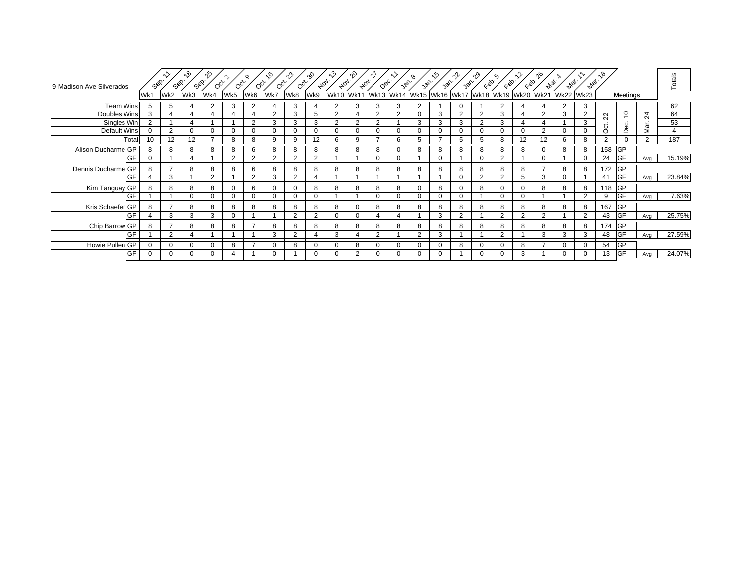| 9-Madison Ave Silverados      | Sep.        | Sop.           | ᠺᡃᠣ<br>Sep.  | ౄ<br>$O_{Q_{\mathcal{F}}}$ | $O_{C_{Y}}$    | $\circ$<br>$O_{Q_{\mathcal{F}}}$ | ᡕᢀ<br>$O_{Q_{\mathcal{F}}}$ | ၣ<br>$O_{Q_{\mathcal{F}}}$ | Ŗ<br>$A_{Q_{\mathcal{T}}}.$ | ి<br>$A_{0_{7}}.$ | ∿°<br>$A_{0_{7}}.$ | $Q_{\mathcal{S}_{\mathcal{C}}}$ | van.           | van.        | $\sqrt{\delta_{\rm C}}$ | var.                                    | $\mathcal{C}^{\otimes 2}$ | $\zeta_{\mathcal{D}}$ | $\zeta^{\otimes 2}$ | ഹ്<br>$A_{\varphi_{\ell}}.$ | $e_{V_{\text{opt}}}.$ | $A_{VQ_{\ell}}.$ | ್ಗಿ                    |                |                | Totals |
|-------------------------------|-------------|----------------|--------------|----------------------------|----------------|----------------------------------|-----------------------------|----------------------------|-----------------------------|-------------------|--------------------|---------------------------------|----------------|-------------|-------------------------|-----------------------------------------|---------------------------|-----------------------|---------------------|-----------------------------|-----------------------|------------------|------------------------|----------------|----------------|--------|
|                               | Wk1         | Wk2            | Wk3          | Wk4                        | Wk5            | Wk6                              | Wk7                         | Wk8                        | Wk9                         | <b>Wk10</b>       | <b>Wk11</b>        |                                 |                |             |                         | Wk13 Wk14 Wk15 Wk16 Wk17 Wk18 Wk19 Wk20 |                           |                       |                     | <b>Wk21</b>                 | <b>Wk22</b>           | <b>Wk23</b>      |                        | Meetings       |                |        |
| <b>Team Wins</b>              |             | 5              |              | $\mathcal{P}$              | 3              | $\mathfrak{p}$                   |                             | 3                          |                             | $\overline{2}$    | 3                  | 3                               | 3              | 2           |                         |                                         |                           |                       |                     |                             |                       | 3                |                        |                |                | 62     |
| Doubles Wins                  | 3           | 4              | 4            |                            |                |                                  | $\overline{2}$              | 3                          | 5                           | $\overline{2}$    |                    | 2                               | $\overline{2}$ | $\Omega$    | 3                       | $\Omega$                                | 2                         | 3                     | 4                   | $\overline{2}$              | 3                     | 2                | $\sim$<br>$\mathbf{N}$ | $\overline{C}$ | $\overline{c}$ | 64     |
| Singles Win                   |             |                |              |                            |                | ◠                                | 3                           | 3                          | 3                           | $\overline{2}$    | $\overline{2}$     | 2                               |                | 3           | 3                       |                                         | $\overline{2}$            | 3                     |                     |                             |                       | 3                | ಕ                      | Dec.           |                | 53     |
| Default Wins                  | $\Omega$    | 2              | $\mathbf{0}$ | $\Omega$                   | $\Omega$       |                                  | 0                           | $\Omega$                   | $\Omega$                    | $\Omega$          | $\Omega$           | $\Omega$                        |                | 0           | $\Omega$                |                                         | $\Omega$                  | O                     | U                   | $\overline{2}$              | $\Omega$              | $\Omega$         | Ó                      |                | Mar.           | 4      |
| Total                         | 10          | 12             | 12           |                            | 8              | 8                                | 9                           | 9                          | 12                          | 6                 | 9                  |                                 | 6              | 5           |                         | 5                                       | 5                         | 8                     | 12                  | 12                          | 6                     | 8                | 2                      | $\Omega$       | 2              | 187    |
| Alison Ducharme GP            | 8           | 8              | 8            | 8                          | 8              | 6                                | 8                           | 8                          | 8                           | 8                 | 8                  | 8                               |                | 8           | 8                       | $\Omega$                                | 8                         | 8                     | 8                   | $\Omega$                    | 8                     | 8                | $158$ GP               |                |                |        |
| <b>IGF</b>                    | 0           |                |              |                            | $\overline{2}$ | 2                                | $\overline{2}$              | 2                          | 2                           |                   |                    | $\Omega$                        |                |             | $\Omega$                |                                         | $\Omega$                  | $\overline{2}$        |                     | 0                           |                       | $\Omega$         | 24                     | <b>GF</b>      | Avg            | 15.19% |
| Dennis Ducharme <sup>GP</sup> | 8           |                | 8            | 8                          | 8              | 6                                | 8                           | 8                          | 8                           | 8                 | 8                  | 8                               | 8              | 8           | 8                       | R                                       | 8                         | 8                     | 8                   |                             | 8                     | 8                | 172 GP                 |                |                |        |
| <b>IGF</b>                    |             | 3              |              | $\overline{2}$             |                | $\overline{2}$                   | 3                           | $\overline{2}$             |                             |                   |                    |                                 |                |             |                         |                                         | 2                         | $\sim$                | 5                   | 3                           |                       |                  | 41                     | <b>GF</b>      | Avg            | 23.84% |
| Kim Tanguay GP                | 8           | 8              | 8            | 8                          | $\Omega$       |                                  | $\Omega$                    | $\Omega$                   | 8                           | 8                 | 8                  | 8                               | 8              | $\Omega$    | 8                       |                                         | 8                         |                       |                     | 8                           | 8                     | 8                | 118 GP                 |                |                |        |
| <b>IGF</b>                    |             |                | $\sqrt{2}$   | $\Omega$                   | $\mathbf 0$    |                                  | 0                           | $\Omega$                   | 0                           |                   |                    | $\Omega$                        |                | $\Omega$    | $\Omega$                |                                         |                           | $\Omega$              | $\Omega$            |                             |                       | $\overline{2}$   | 9                      | <b>GF</b>      | Avg            | 7.63%  |
| Kris Schaefer GP              | 8           | $\overline{ }$ | 8            | 8                          | 8              | 8                                | 8                           | 8                          | 8                           | 8                 | $\Omega$           | 8                               | 8              | 8           | 8                       | 8                                       | 8                         | 8                     | 8                   | 8                           | 8                     | 8                | 167                    | <b>GP</b>      |                |        |
| <b>IGF</b>                    |             | 3              | 3            | 3                          | $\mathbf 0$    |                                  |                             | $\mathcal{P}$              | 2                           | $\mathbf 0$       | 0                  |                                 |                |             | 3                       | $\Omega$                                |                           | ີ                     | $\mathcal{P}$       | 2                           |                       | $\overline{2}$   | 43                     | <b>IGF</b>     | Avg            | 25.75% |
| Chip Barrow GP                | 8           | $\overline{ }$ | 8            | 8                          | 8              |                                  | 8                           | 8                          | 8                           | 8                 | 8                  | 8                               | 8              | 8           | 8                       | 8                                       | 8                         | 8                     | 8                   | 8                           | 8                     | 8                | 174                    | <b>GP</b>      |                |        |
| GF                            |             | 2              |              |                            |                |                                  | 3                           | $\overline{2}$             |                             | 3                 |                    | 2                               |                | 2           | 3                       |                                         |                           | $\overline{2}$        |                     | 3                           | 3                     | 3                | 48                     | <b>GF</b>      | Avg            | 27.59% |
| Howie Pullen GP               | $\Omega$    | $\Omega$       |              | $\Omega$                   | 8              |                                  | $\mathbf 0$                 | 8                          | 0                           | $\Omega$          | 8                  | 0                               |                | $\Omega$    | $\Omega$                | $\circ$                                 | $\Omega$                  | $\Omega$              | 8                   |                             | $\Omega$              | $\Omega$         | 54                     | <b>GP</b>      |                |        |
| <b>GF</b>                     | $\mathbf 0$ | 0              |              | 0                          |                |                                  | 0                           |                            | 0                           |                   | 2                  | $\mathbf 0$                     |                | $\mathbf 0$ |                         |                                         | $\mathbf{0}$              | 0                     | 3                   |                             | $\Omega$              | $\Omega$         | 13                     | <b>IGF</b>     | Avg            | 24.07% |
|                               |             |                |              |                            |                |                                  |                             |                            |                             |                   |                    |                                 |                |             |                         |                                         |                           |                       |                     |                             |                       |                  |                        |                |                |        |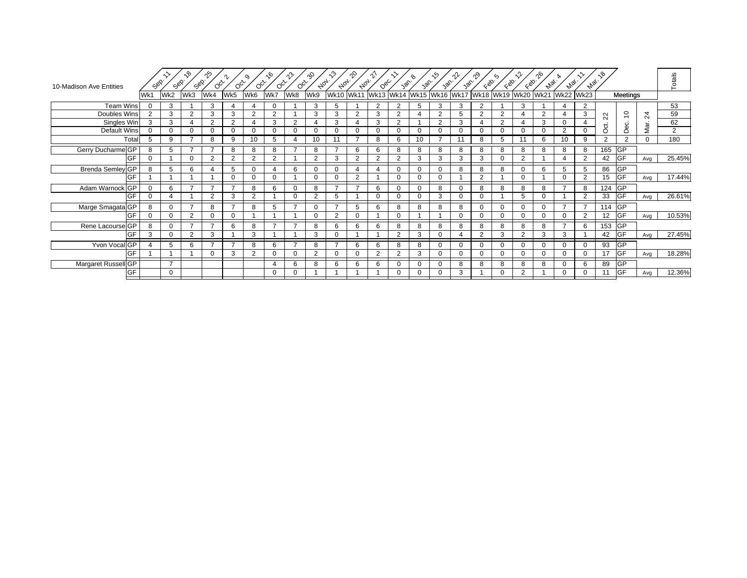| 10-Madison Ave Entities       | Sep.           | Sep.           | ৲ঔ<br>Sep.     | ౄ<br>$O_{Q_{\mathcal{F}}}$ | $O_{Q_{\mathcal{F}}}$ | o,<br>$O_{Q_{\mathcal{F}}}$ | ᡕᢀ<br>$O_{Q_{\mathcal{F}}}$ | ကိ<br>$O_{Q_{\mathcal{F}}}$ | ጭ<br>$A_{0_{7}}.$ | ৻৽<br>$A_{0_{7}}.$ | ∿°<br>$A_{0_{7}}$ | $Q_{\mathcal{B}_{\mathcal{C}}}$ | 30 <sup>6</sup> | van                      | ৻ঌ<br>386      | าใ≁<br>van. | എ<br>$\zeta_{\mathcal{D}}$ | ∽<br>$\zeta_{\mathcal{D}}$ | EQO.           | ഹ്<br>$A_{VQ_{\ell}}$ | <b>Algi.</b>           | $z_{p_{\widetilde{Q_{\ell}}}}$ | ್ಗಿ            |                |          | Totals |
|-------------------------------|----------------|----------------|----------------|----------------------------|-----------------------|-----------------------------|-----------------------------|-----------------------------|-------------------|--------------------|-------------------|---------------------------------|-----------------|--------------------------|----------------|-------------|----------------------------|----------------------------|----------------|-----------------------|------------------------|--------------------------------|----------------|----------------|----------|--------|
|                               | Wk1            | Wk2            | Wk3            | Wk4                        | Wk5                   | Wk6                         | Wk7                         | Wk8                         | Wk9               | <b>Wk10</b>        |                   |                                 |                 | Wk11 Wk13 Wk14 Wk15 Wk16 |                |             |                            | Wk17 Wk18 Wk19 Wk20 Wk21   |                |                       | <b>Wk22</b>            | <b>Wk23</b>                    |                | Meetings       |          |        |
| <b>Team Wins</b>              |                | 3              |                | 3                          | 4                     |                             | $\Omega$                    |                             | 3                 | 5                  |                   | 2                               | 2               | 5                        | 3              | 3           | 2                          |                            | 3              |                       | 4                      | 2                              |                |                |          | 53     |
| Doubles Wins                  | $\overline{2}$ | 3              | $\overline{2}$ | 3                          | 3                     | $\overline{2}$              | 2                           |                             | 3                 | 3                  | $\overline{2}$    | 3                               | 2               | 4                        | $\overline{2}$ | 5           | 2                          | 2                          | 4              | 2                     | $\boldsymbol{\Lambda}$ | 3                              | 22             | $\overline{c}$ | $^{24}$  | 59     |
| Singles Win                   | 3              | 3              | $\overline{4}$ | $\overline{2}$             | 2                     |                             | 3                           | 2                           |                   | 3                  |                   | 3                               | $\overline{2}$  |                          | $\overline{2}$ | 3           | 4                          | $\overline{2}$             | 4              | 3                     | $\Omega$               |                                | ಕ              | Dec.           | Mar.     | 62     |
| Default Wins                  | $\Omega$       | $\Omega$       | 0              | $\Omega$                   | $\Omega$              |                             | $\Omega$                    | 0                           | 0                 | $\Omega$           | 0                 | 0                               | $\Omega$        | 0                        | 0              |             | $\Omega$                   | $\Omega$                   | $\Omega$       | $\Omega$              | $\overline{2}$         | $\Omega$                       | $\circ$        |                |          | 2      |
| Total                         |                | 9              |                | 8                          | 9                     | 10                          | 5                           | 4                           | 10                | 11                 |                   | 8                               | 6               | 10                       |                | 11          | 8                          | 5                          | 11             | 6                     | 10                     | 9                              | $\overline{2}$ | $\overline{2}$ | $\Omega$ | 180    |
| Gerry Ducharme <sup>GP</sup>  | 8              | 5              | -              |                            | 8                     | 8                           | 8                           |                             | 8                 |                    | 6                 | 6                               | 8               | 8                        | 8              | 8           | 8                          | 8                          | 8              | 8                     | 8                      | 8                              | 165 GP         |                |          |        |
| GF                            | $\Omega$       |                | $\Omega$       | $\mathcal{P}$              | 2                     | $\overline{2}$              | 2                           |                             | $\overline{2}$    | 3                  | $\Omega$          | $\overline{2}$                  | $\mathcal{P}$   | 3                        | 3              | 3           | 3                          | $\Omega$                   | 2              |                       |                        | $\overline{2}$                 | 42             | GF             | Avg      | 25.45% |
| <b>Brenda Semley GP</b>       | 8              | 5              | 6              |                            | 5                     |                             |                             | 6                           | $\Omega$          | $\Omega$           |                   | $\boldsymbol{\varDelta}$        | $\Omega$        | $\Omega$                 | $\mathbf 0$    | 8           | 8                          | 8                          | $\Omega$       | 6                     | 5                      | 5                              | 86             | <b>GP</b>      |          |        |
| GF                            |                |                |                |                            | $\Omega$              |                             | U                           |                             | 0                 |                    | $\Omega$          |                                 |                 | 0                        | $\overline{0}$ |             | 2                          |                            |                |                       | $\Omega$               | 2                              | 15             | <b>GF</b>      | Avg      | 17.44% |
| Adam Warnock GP               | $\Omega$       | 6              | $\overline{ }$ | $\overline{ }$             | $\overline{ }$        | 8                           | 6                           | $\Omega$                    | 8                 | $\overline{ }$     |                   | 6                               | $\Omega$        | $\Omega$                 | 8              |             | 8                          | 8                          | 8              | 8                     |                        | 8                              | 124            | <b>GP</b>      |          |        |
| GF                            | $\Omega$       |                |                | 2                          | 3                     | $\overline{2}$              |                             | $\Omega$                    | 2                 | 5                  |                   | $\Omega$                        | $\Omega$        | 0                        | 3              |             | $\Omega$                   |                            | 5              | $\Omega$              |                        | 2                              | 33             | <b>GF</b>      | Avg      | 26.61% |
| Marge Smagata GP              | 8              | 0              | <u>,</u>       | 8                          | $\overline{ }$        | 8                           | 5                           | –                           | $\Omega$          | 7                  | 5                 | 6                               | 8               | 8                        | 8              | 8           | 0                          | $\Omega$                   | $\Omega$       | $\Omega$              |                        | 7                              | 114 GP         |                |          |        |
| GF                            | $\Omega$       | 0              | 2              | $\Omega$                   | $\mathbf 0$           |                             |                             |                             | $\Omega$          | $\overline{2}$     | 0                 |                                 | $\Omega$        |                          |                |             | $\Omega$                   | $\Omega$                   | $\Omega$       | $\Omega$              | $\Omega$               | 2                              | 12             | <b>GF</b>      | Avg      | 10.53% |
| Rene Lacourse <sup>I</sup> GP | 8              | $\Omega$       | $\overline{ }$ | $\overline{ }$             | 6                     | 8                           | $\overline{ }$              | $\overline{ }$              | 8                 | 6                  | 6                 | 6                               | 8               | 8                        | 8              | R           | 8                          | 8                          | 8              | 8                     |                        | 6                              | 153 GP         |                |          |        |
| GF                            | 3              | 0              | $\overline{2}$ | 3                          |                       | 3                           |                             |                             | 3                 |                    |                   |                                 | $\overline{2}$  | 3                        | $\Omega$       |             | 2                          | 3                          | $\overline{2}$ | 3                     | 3                      |                                | 42             | <b>GF</b>      | Avg      | 27.45% |
| Yvon Vocal GP                 |                | 5              | 6              | $\overline{ }$             | $\overline{ }$        | 8                           | 6                           | $\overline{ }$              | 8                 | $\overline{ }$     | 6                 | 6                               | 8               | 8                        | $\mathbf 0$    |             | $\Omega$                   | $\Omega$                   | $\Omega$       | $\Omega$              | $\Omega$               | $\Omega$                       | 93             | <b>GP</b>      |          |        |
| GF                            |                |                |                | $\Omega$                   | 3                     | $\overline{2}$              | $\Omega$                    | $\Omega$                    | $\overline{2}$    | $\Omega$           | 0                 | 2                               | 2               | 3                        | $\Omega$       |             | $\Omega$                   | $\Omega$                   | $\Omega$       | $\Omega$              | $\Omega$               | $\Omega$                       | 17             | <b>GF</b>      | Avg      | 18.28% |
| Margaret Russell GP           |                | $\overline{ }$ |                |                            |                       |                             |                             | 6                           | 8                 | 6                  | 6                 | 6                               |                 | $\Omega$                 | $\mathbf 0$    | 8           | 8                          | 8                          | 8              | 8                     | $\Omega$               | 6                              | 89             | <b>GP</b>      |          |        |
| GF                            |                | $\mathbf 0$    |                |                            |                       |                             | 0                           | 0                           |                   |                    |                   |                                 |                 | 0                        | 0              | 3           |                            | 0                          | 2              |                       | 0                      | $\Omega$                       |                | <b>GF</b>      | Avg      | 12.36% |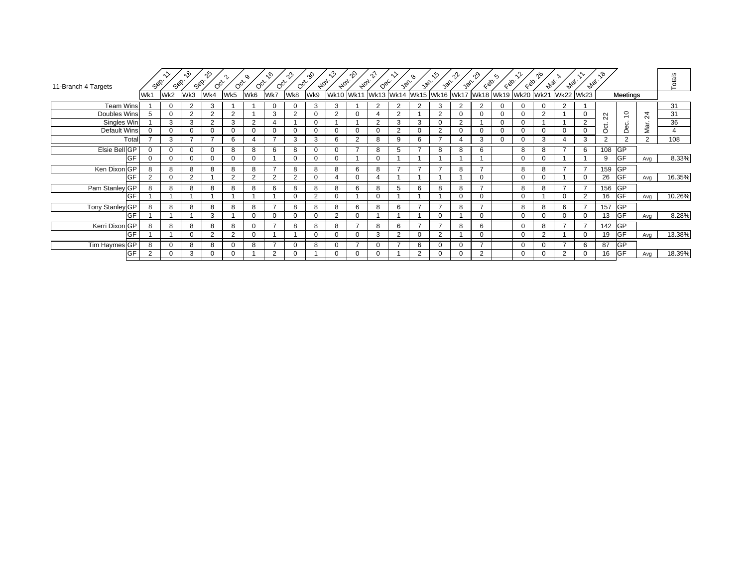| 11-Branch 4 Targets | Sep.           | Sep.     | ᡕᡐ<br>Sep.     | ∱^<br>$O_{Q_{\mathcal{F}}}$ | $O_{C_{Y}}$ |                | ۰Ġ<br>$O_{Q_{\mathcal{F}}}$ | ഹാ<br>$O_{Q_{\mathcal{F}}}$ | aS<br>$A_{0_{7}}.$ | √ి<br>$A_{0_{7}}$ | _^<br>$A_{0_{7}}.$ | $Q_{\mathcal{S}_{\mathcal{C}}}$ | 30 <sup>6</sup> | $\sqrt{\delta}$ | .რ<br>$\sqrt{\delta_{\rm C}}$ | ൷<br>$\sqrt{\phi}$ | $\zeta_{\mathcal{D}}$    | $\zeta$<br>$\zeta_{\mathcal{S}}$ | $\zeta_{\mathcal{D}}$ | ൟ<br><b>Mai</b> . | $A_{\Phi_C}$ | $A_{\varphi_{\mathcal{C}}}$ | ್ಗಿ              |                |                 | Totals         |
|---------------------|----------------|----------|----------------|-----------------------------|-------------|----------------|-----------------------------|-----------------------------|--------------------|-------------------|--------------------|---------------------------------|-----------------|-----------------|-------------------------------|--------------------|--------------------------|----------------------------------|-----------------------|-------------------|--------------|-----------------------------|------------------|----------------|-----------------|----------------|
|                     | Wk1            | Wk2      | Wk3            | Wk4                         | Wk5         | Wk6            | Wk7                         | Wk8                         | Wk9                |                   |                    | Wk10 Wk11 Wk13 Wk14 Wk15 Wk16   |                 |                 |                               |                    | Wk17 Wk18 Wk19 Wk20 Wk21 |                                  |                       |                   | <b>Wk22</b>  | <b>Wk23</b>                 |                  | Meetings       |                 |                |
| Team Wins           |                | $\Omega$ | $\overline{2}$ | $\Omega$                    |             |                |                             |                             | 3                  | 3                 |                    | $\overline{2}$                  | $\mathcal{D}$   | C               | 3                             | $\Omega$           | 2                        | $\Omega$                         |                       |                   | ີ            |                             |                  |                |                 | 31             |
| Doubles Wins        |                | $\Omega$ | $\overline{2}$ | $\mathcal{P}$               | 2           |                | 3                           | 2                           | 0                  | 2                 |                    | 4                               | $\overline{2}$  |                 | $\overline{2}$                | $\Omega$           | 0                        | 0                                | $\Omega$              | 2                 |              | 0                           | $\sim$<br>$\sim$ | $\tilde{c}$    | $\overline{24}$ | 31             |
| Singles Win         |                | 3        | 3              | 2                           | 3           | $\overline{2}$ | 4                           |                             | $\mathbf 0$        |                   |                    | 2                               | 3               | 3               | $\mathbf 0$                   | 2                  |                          | $\Omega$                         | $\Omega$              |                   |              | 2                           | ಕ                | ec.            |                 | 36             |
| Default Wins        |                | $\Omega$ | $\Omega$       |                             | $\Omega$    | $\Omega$       |                             | 0                           | $\Omega$           | $\Omega$          |                    | $\Omega$                        | $\overline{2}$  | 0               | $\overline{2}$                |                    | 0                        | $\Omega$                         | $\Omega$              |                   | $\Omega$     | $\Omega$                    | $\circ$          | ۵              | Mar.            | $\overline{4}$ |
| Total               |                | 3        |                |                             | 6           |                |                             | 3                           | 3                  | 6                 | C                  | 8                               | 9               | 6               |                               |                    | 3                        | $\Omega$                         | $\Omega$              | 3                 |              | 3                           | 2                | $\overline{2}$ | $\overline{2}$  | 108            |
| Elsie Bell GP       |                | $\Omega$ | 0              |                             | 8           | 8              | 6                           | 8                           | 0                  | $\Omega$          |                    | 8                               |                 | ⇁               | 8                             | 8                  | 6                        |                                  | 8                     | 8                 |              | 6                           | 108 GP           |                |                 |                |
| GF                  |                | 0        | $\Omega$       |                             | $\Omega$    | 0              |                             | 0                           | $\Omega$           |                   |                    | $\Omega$                        |                 |                 |                               |                    |                          |                                  | $\Omega$              |                   |              |                             | 9                | <b>GF</b>      | Avg             | 8.33%          |
| Ken Dixon GP        |                | 8        | 8              |                             | 8           | 8              |                             | 8                           | 8                  | 8                 | 6                  | 8                               |                 | $\overline{ }$  |                               |                    | –                        |                                  | 8                     | 8                 |              | $\overline{ }$              | 159              | <b>GP</b>      |                 |                |
| GF                  | $\overline{2}$ | $\Omega$ | 2              |                             | C           | $\sim$         | $\Omega$                    | $\mathcal{D}$               | $\Omega$           |                   |                    | 4                               |                 |                 |                               |                    | $\Omega$                 |                                  | $\Omega$              | 0                 |              | 0                           | 26               | <b>GF</b>      | Avg             | 16.35%         |
| Pam Stanley GP      |                | 8        | 8              | $\Omega$                    | 8           | 8              | 6                           | 8                           | 8                  | 8                 | 6                  | 8                               | 5               | 6               | 8                             | 8                  | ⇁                        |                                  | 8                     | 8                 |              | $\overline{\phantom{a}}$    | 156              | <b>GP</b>      |                 |                |
| <b>IGF</b>          |                |          |                |                             |             |                |                             | $\Omega$                    | 2                  | $\Omega$          |                    | $\mathbf 0$                     |                 |                 |                               | $\Omega$           | $\Omega$                 |                                  | $\Omega$              |                   | $\Omega$     | 2                           | 16               | <b>GF</b>      | Avg             | 10.26%         |
| Tony Stanley GP     | 8              | 8        | 8              | 8                           | 8           | 8              | $\overline{ }$              | 8                           | 8                  | 8                 | 6                  | 8                               | 6               | $\overline{ }$  | $\overline{ }$                | 8                  | $\overline{ }$           |                                  | 8                     | 8                 | 6            | $\overline{7}$              | 157              | <b>GP</b>      |                 |                |
| GF                  |                |          |                | 3                           |             | $\Omega$       |                             | 0                           | $\Omega$           | 2                 |                    |                                 |                 |                 | $\mathbf 0$                   |                    | 0                        |                                  | $\Omega$              |                   |              | $\Omega$                    | 13               | <b>GF</b>      | Avg             | 8.28%          |
| Kerri Dixon GP      | 8              | 8        | 8              | 8                           | 8           | $\Omega$       | $\overline{ }$              | 8                           | 8                  | 8                 |                    | 8                               | 6               | $\overline{ }$  | $\overline{ }$                | 8                  | 6                        |                                  | $\Omega$              | 8                 |              | $\overline{7}$              | 142              | <b>GP</b>      |                 |                |
| GF                  |                |          | $\Omega$       |                             | 2           | $\sqrt{ }$     |                             |                             |                    |                   |                    | 3                               | $\overline{2}$  |                 | $\overline{2}$                |                    | 0                        |                                  | $\Omega$              | $\overline{2}$    |              | $\Omega$                    | 19               | <b>GF</b>      | Avg             | 13.38%         |
| Tim Haymes GP       |                | 0        | 8              | 8                           | 0           | 8              |                             | $\mathbf 0$                 | 8                  | $\Omega$          |                    | $\mathbf 0$                     |                 | 6               | $\mathbf 0$                   |                    | ⇁                        |                                  | $\Omega$              | $\Omega$          |              | 6                           | 87               | <b>GP</b>      |                 |                |
| GF                  |                | 0        | 3              |                             | 0           |                | $\Omega$                    | 0                           |                    | $\Omega$          |                    | 0                               |                 | 2               | $\mathbf 0$                   |                    | 2                        |                                  | $\Omega$              |                   | $\Omega$     | $\Omega$                    | 16               | <b>GF</b>      | Avg             | 18.39%         |
|                     |                |          |                |                             |             |                |                             |                             |                    |                   |                    |                                 |                 |                 |                               |                    |                          |                                  |                       |                   |              |                             |                  |                |                 |                |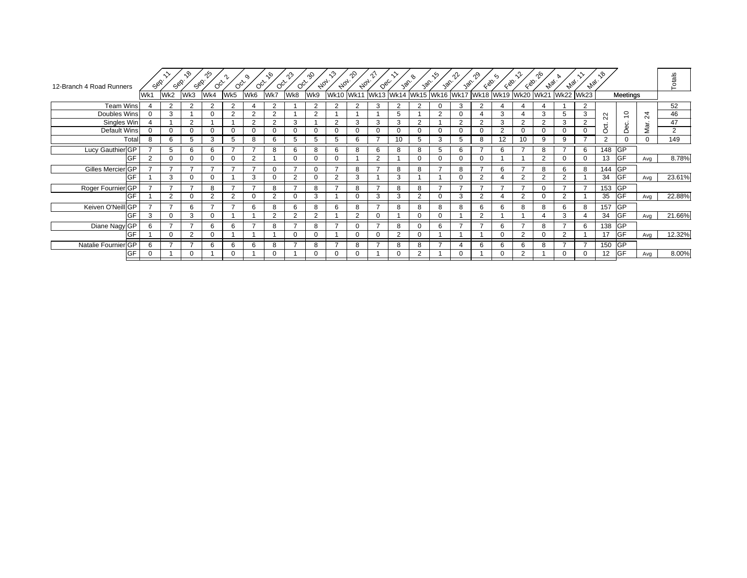| Wk8<br>Wk11 Wk13 Wk14 Wk15 Wk16 Wk17 Wk18 Wk19 Wk20 Wk21<br>Wk4<br>Wk5<br>Wk6<br>Wk7<br><b>Wk10</b><br><b>Wk22</b><br><b>Wk23</b><br>Wk1<br>Wk3<br>Meetings<br>Wk2<br><b>Team Wins</b><br>52<br>2<br>$\overline{2}$<br>$\overline{2}$<br>$\overline{2}$<br>$\mathcal{P}$<br>3<br>$\Omega$<br>2<br>$\Omega$<br>2<br>$\sim$<br>2<br>$\Omega$<br>3<br>2<br>$\overline{C}$<br>46<br>Doubles Wins<br>2<br>2<br>3<br>3<br>2<br>5<br>$\overline{2}$<br>3<br>າ<br>3<br>5<br>$\overline{24}$<br>4<br>$\sim$<br>$\mathbf{N}$<br>2<br>Singles Win<br>2<br>$\overline{2}$<br>2<br>3<br>$\overline{2}$<br>3<br>3<br>2<br>2<br>3<br>2<br>2<br>3<br>47<br>3<br>2<br>မ္မ<br>Mar.<br>ಕ<br>$\overline{2}$<br>Default Wins<br>$\Omega$<br>$\Omega$<br>2<br>$\Omega$<br>$\Omega$<br>$\Omega$<br>O<br>$\Omega$<br>0<br>0<br>$\Omega$<br>$\Omega$<br>$\Omega$<br>$\Omega$<br>$\Omega$<br>$\Omega$<br>Ó<br>Ŏ<br>149<br>Total<br>$\Omega$<br>2<br>8<br>6<br>6<br>10<br>3<br>8<br>12<br>10<br>9<br>$\Omega$<br>5<br>3<br>5<br>8<br>5<br>6<br>5<br>9<br>5<br>5<br>148 GP<br>Lucy Gauthier GP<br>6<br>5<br>6<br>8<br>6<br>6<br>8<br>5<br>6<br>6<br>8<br>8<br>6<br>8<br>8<br><b>GF</b><br>8.78%<br>GF<br>$\overline{2}$<br>13<br>2<br>2<br>0<br>$\Omega$<br>$\Omega$<br>0<br>$\Omega$<br>O<br>$\Omega$<br>Avg<br>Gilles Mercier GP<br><b>GP</b><br>8<br>$\Omega$<br>$\Omega$<br>$\overline{ }$<br>8<br>8<br>6<br>$\overline{ }$<br>8<br>6<br>8<br>144<br>я<br><b>GF</b><br>23.61%<br>GF<br>3<br>$\Omega$<br>3<br>2<br>$\overline{2}$<br>3<br>3<br>$\mathcal{D}$<br>2<br>$\Omega$<br>$\Omega$<br>34<br>$\Omega$<br>$\Omega$<br>$\Omega$<br>Avg<br>Roger Fournier GP<br>153 GP<br>$\overline{\phantom{0}}$<br>8<br>8<br>8<br>$\overline{ }$<br>⇁<br>-<br>8<br>–<br>8<br>$\overline{ }$<br>8<br>-<br>$\overline{ }$<br>⇁<br>$\overline{ }$<br>$\overline{ }$<br>0<br><b>GF</b><br>22.88%<br><b>GF</b><br>$\mathcal{D}$<br>3<br>35<br>$\Omega$<br>$\Omega$<br>$\Omega$<br>$\Omega$<br>3<br>3<br>$\mathcal{D}$<br>$\mathbf 0$<br>3<br>$\Omega$<br>2<br>$\Omega$<br>$\Omega$<br>0<br>$\Omega$<br>Avg<br>Keiven O'Neill GP<br><b>GP</b><br>6<br>$\overline{ }$<br>$\overline{ }$<br>8<br>157<br>8<br>6<br>⇁<br>8<br>8<br>8<br>6<br>8<br>6<br>8<br>6<br>6<br>8<br>R<br>6<br>8<br><b>GF</b><br>21.66%<br>GF<br>$\mathcal{P}$<br>2<br>2<br>34<br>3<br>3<br>$\overline{2}$<br>$\Omega$<br>$\Omega$<br>$\mathbf 0$<br>3<br>$\Omega$<br>0<br>Avg<br><b>GP</b><br>Diane Nagy GP<br>$\overline{ }$<br>$\overline{ }$<br>6<br>6<br>8<br>$\rightarrow$<br>8<br>-<br>8<br>6<br>$\overline{ }$<br>$\overline{ }$<br>6<br>$\overline{ }$<br>8<br>6<br>138<br>6<br>0<br>$\Omega$<br><b>GF</b><br>12.32%<br>$\overline{2}$<br>GF<br>2<br>2<br>$\mathcal{P}$<br>$\Omega$<br>$\Omega$<br>17<br>$\Omega$<br>0<br>Avg<br>/ IGP<br>Natalie Fournier GP<br><u>,</u><br>6<br>6<br>6<br>8<br>8<br>$\overline{ }$<br>8<br>8<br>6<br>6<br>6<br>8<br>7<br>150<br>6<br>8<br>8.00%<br><b>GF</b><br>GF<br>2<br>12<br>$\mathbf 0$<br>$\Omega$<br>$\Omega$<br>$\Omega$<br>0<br>0<br>$\Omega$<br>Avg | 12-Branch 4 Road Runners | جھي.<br>حو | Sop. | $\kappa$<br>Sep. | ౄ<br>$\circ$ coco | $O_{C_{\mathcal{F}}}$ | $O_{Q_{\mathcal{F}}}$ | $\sqrt{6}$<br>$O_{Q_{\mathcal{F}}}$ | ൂ | ∘Ş<br>$A_{0_{7}}.$ | ৻৽<br>$A_{0_{7}}$ | $\gamma$<br>$A_{0_{7}}$ | $Q_{\mathcal{C}_C}$ | 30 <sup>6</sup> | 30 <sup>6</sup> | ∾<br>30 <sup>6</sup> | าใ≁<br>30 <sup>6</sup> | $\zeta_{\otimes}.$ | $\zeta$<br>$\zeta_{\mathcal{D}}$ | $\left\langle \mathcal{S}_{\infty} \right\rangle$ | ᠭᢀ<br>$e_{\psi_{\mathcal{Q}_{\mathcal{C}}}}$ | $\mathscr{P}_{\mathscr{A}_\mathscr{C}}.$ | $z_{p_{\widetilde{Q}_\ell}}.$ | ್ಗಿ |  | Totals |
|-----------------------------------------------------------------------------------------------------------------------------------------------------------------------------------------------------------------------------------------------------------------------------------------------------------------------------------------------------------------------------------------------------------------------------------------------------------------------------------------------------------------------------------------------------------------------------------------------------------------------------------------------------------------------------------------------------------------------------------------------------------------------------------------------------------------------------------------------------------------------------------------------------------------------------------------------------------------------------------------------------------------------------------------------------------------------------------------------------------------------------------------------------------------------------------------------------------------------------------------------------------------------------------------------------------------------------------------------------------------------------------------------------------------------------------------------------------------------------------------------------------------------------------------------------------------------------------------------------------------------------------------------------------------------------------------------------------------------------------------------------------------------------------------------------------------------------------------------------------------------------------------------------------------------------------------------------------------------------------------------------------------------------------------------------------------------------------------------------------------------------------------------------------------------------------------------------------------------------------------------------------------------------------------------------------------------------------------------------------------------------------------------------------------------------------------------------------------------------------------------------------------------------------------------------------------------------------------------------------------------------------------------------------------------------------------------------------------------------------------------------------------------------------------------------------------------------------------------------------------------------------------------------------------------------------------------------------------------------------------------------------------------------------|--------------------------|------------|------|------------------|-------------------|-----------------------|-----------------------|-------------------------------------|---|--------------------|-------------------|-------------------------|---------------------|-----------------|-----------------|----------------------|------------------------|--------------------|----------------------------------|---------------------------------------------------|----------------------------------------------|------------------------------------------|-------------------------------|-----|--|--------|
|                                                                                                                                                                                                                                                                                                                                                                                                                                                                                                                                                                                                                                                                                                                                                                                                                                                                                                                                                                                                                                                                                                                                                                                                                                                                                                                                                                                                                                                                                                                                                                                                                                                                                                                                                                                                                                                                                                                                                                                                                                                                                                                                                                                                                                                                                                                                                                                                                                                                                                                                                                                                                                                                                                                                                                                                                                                                                                                                                                                                                                   |                          |            |      |                  |                   |                       |                       |                                     |   | Wk9                |                   |                         |                     |                 |                 |                      |                        |                    |                                  |                                                   |                                              |                                          |                               |     |  |        |
|                                                                                                                                                                                                                                                                                                                                                                                                                                                                                                                                                                                                                                                                                                                                                                                                                                                                                                                                                                                                                                                                                                                                                                                                                                                                                                                                                                                                                                                                                                                                                                                                                                                                                                                                                                                                                                                                                                                                                                                                                                                                                                                                                                                                                                                                                                                                                                                                                                                                                                                                                                                                                                                                                                                                                                                                                                                                                                                                                                                                                                   |                          |            |      |                  |                   |                       |                       |                                     |   |                    |                   |                         |                     |                 |                 |                      |                        |                    |                                  |                                                   |                                              |                                          |                               |     |  |        |
|                                                                                                                                                                                                                                                                                                                                                                                                                                                                                                                                                                                                                                                                                                                                                                                                                                                                                                                                                                                                                                                                                                                                                                                                                                                                                                                                                                                                                                                                                                                                                                                                                                                                                                                                                                                                                                                                                                                                                                                                                                                                                                                                                                                                                                                                                                                                                                                                                                                                                                                                                                                                                                                                                                                                                                                                                                                                                                                                                                                                                                   |                          |            |      |                  |                   |                       |                       |                                     |   |                    |                   |                         |                     |                 |                 |                      |                        |                    |                                  |                                                   |                                              |                                          |                               |     |  |        |
|                                                                                                                                                                                                                                                                                                                                                                                                                                                                                                                                                                                                                                                                                                                                                                                                                                                                                                                                                                                                                                                                                                                                                                                                                                                                                                                                                                                                                                                                                                                                                                                                                                                                                                                                                                                                                                                                                                                                                                                                                                                                                                                                                                                                                                                                                                                                                                                                                                                                                                                                                                                                                                                                                                                                                                                                                                                                                                                                                                                                                                   |                          |            |      |                  |                   |                       |                       |                                     |   |                    |                   |                         |                     |                 |                 |                      |                        |                    |                                  |                                                   |                                              |                                          |                               |     |  |        |
|                                                                                                                                                                                                                                                                                                                                                                                                                                                                                                                                                                                                                                                                                                                                                                                                                                                                                                                                                                                                                                                                                                                                                                                                                                                                                                                                                                                                                                                                                                                                                                                                                                                                                                                                                                                                                                                                                                                                                                                                                                                                                                                                                                                                                                                                                                                                                                                                                                                                                                                                                                                                                                                                                                                                                                                                                                                                                                                                                                                                                                   |                          |            |      |                  |                   |                       |                       |                                     |   |                    |                   |                         |                     |                 |                 |                      |                        |                    |                                  |                                                   |                                              |                                          |                               |     |  |        |
|                                                                                                                                                                                                                                                                                                                                                                                                                                                                                                                                                                                                                                                                                                                                                                                                                                                                                                                                                                                                                                                                                                                                                                                                                                                                                                                                                                                                                                                                                                                                                                                                                                                                                                                                                                                                                                                                                                                                                                                                                                                                                                                                                                                                                                                                                                                                                                                                                                                                                                                                                                                                                                                                                                                                                                                                                                                                                                                                                                                                                                   |                          |            |      |                  |                   |                       |                       |                                     |   |                    |                   |                         |                     |                 |                 |                      |                        |                    |                                  |                                                   |                                              |                                          |                               |     |  |        |
|                                                                                                                                                                                                                                                                                                                                                                                                                                                                                                                                                                                                                                                                                                                                                                                                                                                                                                                                                                                                                                                                                                                                                                                                                                                                                                                                                                                                                                                                                                                                                                                                                                                                                                                                                                                                                                                                                                                                                                                                                                                                                                                                                                                                                                                                                                                                                                                                                                                                                                                                                                                                                                                                                                                                                                                                                                                                                                                                                                                                                                   |                          |            |      |                  |                   |                       |                       |                                     |   |                    |                   |                         |                     |                 |                 |                      |                        |                    |                                  |                                                   |                                              |                                          |                               |     |  |        |
|                                                                                                                                                                                                                                                                                                                                                                                                                                                                                                                                                                                                                                                                                                                                                                                                                                                                                                                                                                                                                                                                                                                                                                                                                                                                                                                                                                                                                                                                                                                                                                                                                                                                                                                                                                                                                                                                                                                                                                                                                                                                                                                                                                                                                                                                                                                                                                                                                                                                                                                                                                                                                                                                                                                                                                                                                                                                                                                                                                                                                                   |                          |            |      |                  |                   |                       |                       |                                     |   |                    |                   |                         |                     |                 |                 |                      |                        |                    |                                  |                                                   |                                              |                                          |                               |     |  |        |
|                                                                                                                                                                                                                                                                                                                                                                                                                                                                                                                                                                                                                                                                                                                                                                                                                                                                                                                                                                                                                                                                                                                                                                                                                                                                                                                                                                                                                                                                                                                                                                                                                                                                                                                                                                                                                                                                                                                                                                                                                                                                                                                                                                                                                                                                                                                                                                                                                                                                                                                                                                                                                                                                                                                                                                                                                                                                                                                                                                                                                                   |                          |            |      |                  |                   |                       |                       |                                     |   |                    |                   |                         |                     |                 |                 |                      |                        |                    |                                  |                                                   |                                              |                                          |                               |     |  |        |
|                                                                                                                                                                                                                                                                                                                                                                                                                                                                                                                                                                                                                                                                                                                                                                                                                                                                                                                                                                                                                                                                                                                                                                                                                                                                                                                                                                                                                                                                                                                                                                                                                                                                                                                                                                                                                                                                                                                                                                                                                                                                                                                                                                                                                                                                                                                                                                                                                                                                                                                                                                                                                                                                                                                                                                                                                                                                                                                                                                                                                                   |                          |            |      |                  |                   |                       |                       |                                     |   |                    |                   |                         |                     |                 |                 |                      |                        |                    |                                  |                                                   |                                              |                                          |                               |     |  |        |
|                                                                                                                                                                                                                                                                                                                                                                                                                                                                                                                                                                                                                                                                                                                                                                                                                                                                                                                                                                                                                                                                                                                                                                                                                                                                                                                                                                                                                                                                                                                                                                                                                                                                                                                                                                                                                                                                                                                                                                                                                                                                                                                                                                                                                                                                                                                                                                                                                                                                                                                                                                                                                                                                                                                                                                                                                                                                                                                                                                                                                                   |                          |            |      |                  |                   |                       |                       |                                     |   |                    |                   |                         |                     |                 |                 |                      |                        |                    |                                  |                                                   |                                              |                                          |                               |     |  |        |
|                                                                                                                                                                                                                                                                                                                                                                                                                                                                                                                                                                                                                                                                                                                                                                                                                                                                                                                                                                                                                                                                                                                                                                                                                                                                                                                                                                                                                                                                                                                                                                                                                                                                                                                                                                                                                                                                                                                                                                                                                                                                                                                                                                                                                                                                                                                                                                                                                                                                                                                                                                                                                                                                                                                                                                                                                                                                                                                                                                                                                                   |                          |            |      |                  |                   |                       |                       |                                     |   |                    |                   |                         |                     |                 |                 |                      |                        |                    |                                  |                                                   |                                              |                                          |                               |     |  |        |
|                                                                                                                                                                                                                                                                                                                                                                                                                                                                                                                                                                                                                                                                                                                                                                                                                                                                                                                                                                                                                                                                                                                                                                                                                                                                                                                                                                                                                                                                                                                                                                                                                                                                                                                                                                                                                                                                                                                                                                                                                                                                                                                                                                                                                                                                                                                                                                                                                                                                                                                                                                                                                                                                                                                                                                                                                                                                                                                                                                                                                                   |                          |            |      |                  |                   |                       |                       |                                     |   |                    |                   |                         |                     |                 |                 |                      |                        |                    |                                  |                                                   |                                              |                                          |                               |     |  |        |
|                                                                                                                                                                                                                                                                                                                                                                                                                                                                                                                                                                                                                                                                                                                                                                                                                                                                                                                                                                                                                                                                                                                                                                                                                                                                                                                                                                                                                                                                                                                                                                                                                                                                                                                                                                                                                                                                                                                                                                                                                                                                                                                                                                                                                                                                                                                                                                                                                                                                                                                                                                                                                                                                                                                                                                                                                                                                                                                                                                                                                                   |                          |            |      |                  |                   |                       |                       |                                     |   |                    |                   |                         |                     |                 |                 |                      |                        |                    |                                  |                                                   |                                              |                                          |                               |     |  |        |
|                                                                                                                                                                                                                                                                                                                                                                                                                                                                                                                                                                                                                                                                                                                                                                                                                                                                                                                                                                                                                                                                                                                                                                                                                                                                                                                                                                                                                                                                                                                                                                                                                                                                                                                                                                                                                                                                                                                                                                                                                                                                                                                                                                                                                                                                                                                                                                                                                                                                                                                                                                                                                                                                                                                                                                                                                                                                                                                                                                                                                                   |                          |            |      |                  |                   |                       |                       |                                     |   |                    |                   |                         |                     |                 |                 |                      |                        |                    |                                  |                                                   |                                              |                                          |                               |     |  |        |
|                                                                                                                                                                                                                                                                                                                                                                                                                                                                                                                                                                                                                                                                                                                                                                                                                                                                                                                                                                                                                                                                                                                                                                                                                                                                                                                                                                                                                                                                                                                                                                                                                                                                                                                                                                                                                                                                                                                                                                                                                                                                                                                                                                                                                                                                                                                                                                                                                                                                                                                                                                                                                                                                                                                                                                                                                                                                                                                                                                                                                                   |                          |            |      |                  |                   |                       |                       |                                     |   |                    |                   |                         |                     |                 |                 |                      |                        |                    |                                  |                                                   |                                              |                                          |                               |     |  |        |
|                                                                                                                                                                                                                                                                                                                                                                                                                                                                                                                                                                                                                                                                                                                                                                                                                                                                                                                                                                                                                                                                                                                                                                                                                                                                                                                                                                                                                                                                                                                                                                                                                                                                                                                                                                                                                                                                                                                                                                                                                                                                                                                                                                                                                                                                                                                                                                                                                                                                                                                                                                                                                                                                                                                                                                                                                                                                                                                                                                                                                                   |                          |            |      |                  |                   |                       |                       |                                     |   |                    |                   |                         |                     |                 |                 |                      |                        |                    |                                  |                                                   |                                              |                                          |                               |     |  |        |
|                                                                                                                                                                                                                                                                                                                                                                                                                                                                                                                                                                                                                                                                                                                                                                                                                                                                                                                                                                                                                                                                                                                                                                                                                                                                                                                                                                                                                                                                                                                                                                                                                                                                                                                                                                                                                                                                                                                                                                                                                                                                                                                                                                                                                                                                                                                                                                                                                                                                                                                                                                                                                                                                                                                                                                                                                                                                                                                                                                                                                                   |                          |            |      |                  |                   |                       |                       |                                     |   |                    |                   |                         |                     |                 |                 |                      |                        |                    |                                  |                                                   |                                              |                                          |                               |     |  |        |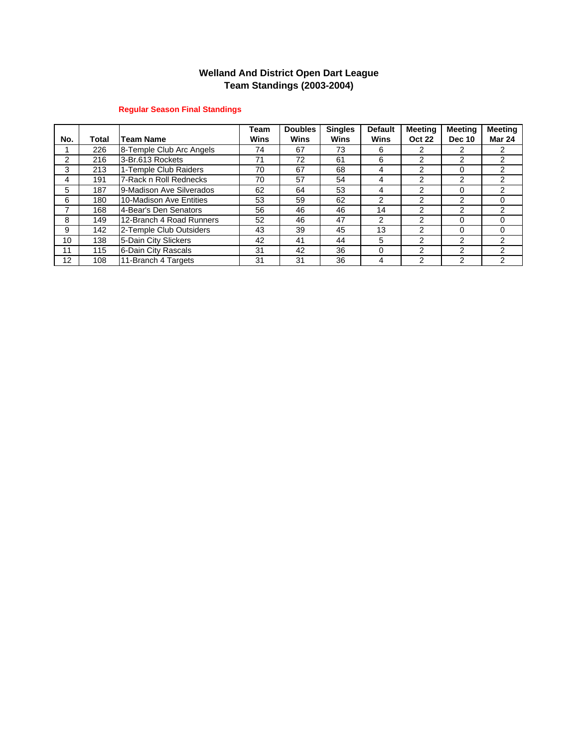### **Welland And District Open Dart League Team Standings (2003-2004)**

### **Regular Season Final Standings**

|     |       |                          | Team | <b>Doubles</b> | <b>Singles</b> | <b>Default</b> | <b>Meeting</b> | <b>Meeting</b> | <b>Meeting</b> |
|-----|-------|--------------------------|------|----------------|----------------|----------------|----------------|----------------|----------------|
| No. | Total | <b>Team Name</b>         | Wins | <b>Wins</b>    | <b>Wins</b>    | <b>Wins</b>    | <b>Oct 22</b>  | <b>Dec 10</b>  | <b>Mar 24</b>  |
|     | 226   | 8-Temple Club Arc Angels | 74   | 67             | 73             | 6              |                |                | 2              |
| 2   | 216   | 3-Br.613 Rockets         | 71   | 72             | 61             | 6              | 2              | $\mathcal{P}$  | 2              |
| 3   | 213   | 1-Temple Club Raiders    | 70   | 67             | 68             | 4              | 2              | 0              | $\mathcal{P}$  |
| 4   | 191   | 7-Rack n Roll Rednecks   | 70   | 57             | 54             | 4              | 2              | 2              | 2              |
| 5   | 187   | 9-Madison Ave Silverados | 62   | 64             | 53             | 4              | 2              | 0              | $\overline{2}$ |
| 6   | 180   | 10-Madison Ave Entities  | 53   | 59             | 62             | 2              | 2              | 2              | $\Omega$       |
|     | 168   | 4-Bear's Den Senators    | 56   | 46             | 46             | 14             | 2              | 2              | 2              |
| 8   | 149   | 12-Branch 4 Road Runners | 52   | 46             | 47             | 2              | 2              | 0              | 0              |
| 9   | 142   | 2-Temple Club Outsiders  | 43   | 39             | 45             | 13             | 2              | 0              | $\Omega$       |
| 10  | 138   | 5-Dain City Slickers     | 42   | 41             | 44             | 5              | 2              | 2              | 2              |
| 11  | 115   | 6-Dain City Rascals      | 31   | 42             | 36             | 0              | 2              | 2              | $\mathcal{P}$  |
| 12  | 108   | 11-Branch 4 Targets      | 31   | 31             | 36             | 4              | 2              | ົ              | 2              |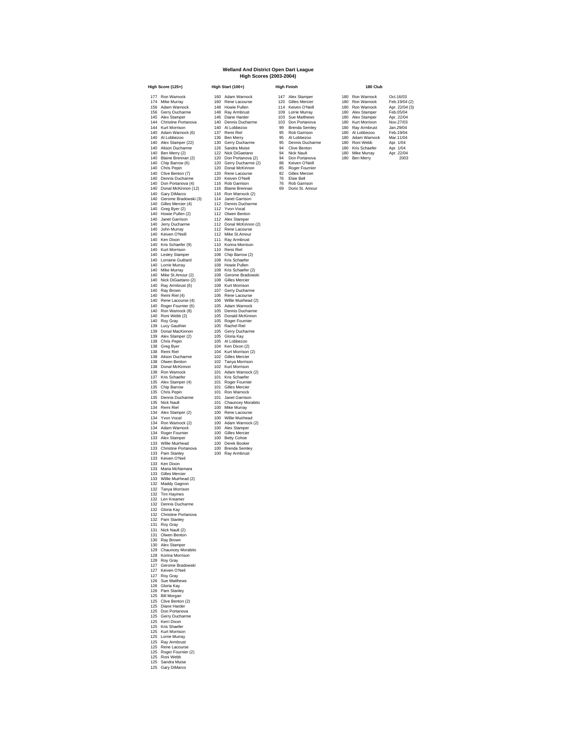#### **Welland And District Open Dart League High Scores (2003-2004)**

**High Score (125+) High Start (100+) High Finish** 140 Adam Wannock (6) 1137 Remi Riel 1958 Rol Garrison 180 Al Lobbezoo Feb. 1904<br>140 Al Lobbezoo 130 Ben Merry 1958 Al Lobbezoo 180 Adam Wannock Mar.11/04<br>140 Aliex Stamper (22) 130 Gerry Ducharme 195 Dennis Ducharme 180 Ro 140 Blaine Brennan (2) 120 Don Portanova (2) 94 Don Portanova 180 Ben Merry 2003 140 Chip Barrow (6) 120 Gerry Ducharme (2) 88 Keiven O'Neill 140 Chris Pepin 120 Donal McKinnon 85 Roger Fournier 140 Clive Benton (7) 120 Rene Lacourse 82 Gilles Mercier 140 Dennis Ducharme 120 Keiven O'Neill 76 Elsie Bell 140 Don Portanova (4) 116 Rob Garrison 76 Rob Garrison 140 Donal McKinnon (12) 116 Blaine Brennan 69 Doris St. Amour 140 Gary DiMarco 116 Ron Warnock (2) 140 Gerome Bradowski (3) 114 Janet Garrison 140 Gilles Mercier (4) 112 Dennis Ducharme 140 Greg Byer (2) 112 Yvon Vocal 140 Howie Pullen (2) 112 Oliven Benton<br>140 Janet Garrison 112 Alex Stamper<br>140 Janet Garrison 112 Donal McKinnon (2)<br>140 John Murray 112 112 Rike St.Amour<br>140 Keis Schaefer (9) 110 Korina Morrison<br>140 Kris Schaefer (9) 110 140 Kurt Morrison 110 Remi Riel 140 Lesley Stamper 108 Chip Barrow (2) 140 Lorraine Guittard 108 Kris Schaefer<br>140 Lorrie Murray 108 Howie Pullen<br>140 Mike St.Amour (2) 108 Gerome Bradowski<br>140 Mick DiGaetano (2) 108 Gilles Mercier 140 Ray Armbrust (6) 108 Kurt Morrison 140 Ray Brown 107 Gerry Ducharme 140 Remi Riel (4) 106 Rene Lacourse 140 Rene Lacourse (4) 106 Willie Muirhead (2) 140 Roger Fournier (6) 105 Adam Warnock 140 Ron Warnock (8) 105 Dennis Ducharme 140 Roni Webb (2) 105 Donald McKinnon<br>140 Roy Gray 105 Roger Fournier<br>139 Donal MacKinnon 105 Roache Riel<br>139 Donal MacKinnon 105 Gerry Ducharme<br>139 Alex Stamper (2) 105 Gloria Kay<br>138 Grae Byen<br>138 Green Riel<br>138 Alexn Du 138 Donal McKinnon 102 Kurt Morrison 138 Ron Warnock 101 Adam Warnock (2) 138 Oliven Benton<br>
138 Oliven Benton<br>
137 Bonal McKinnon<br>
137 Kris Schaefer 101 Adam Warnock (2)<br>
137 Kris Schaefer 101 Kris Schaefer<br>
137 Kris Schaefer 101 Kris Schaefer<br>
135 Alex Stamper (4)<br>
101 Roger Fournier 135 Alex Stamper (4) 101 Roger Fournier<br>135 Chris Pepin 101 Gilles Mercier<br>135 Dennis Ducharme 101 Janet Garrison<br>135 Nick Nault 101 Chauncey Morabito 134 Remi Riel 100 Mike Murray 134 Alex Stamper (2) 100 Rene Lacourse 134 Yvon Vocal 100 Willie Muirhead 134 Remi Riel<br>134 Alex Stamper (2) 100 Niele Musinear (2) 100 Rene Lacourse<br>134 You Vocal 100 Willie Muinhead<br>134 Ron Warnock (2) 100 Adam Warnock (2)<br>134 Roger Founier (100 Gilles Mericies (133 Alex Stamper 100 Gilles Mer 134 Adam Warnock 100 Alex Stamper<br>134 Acger Fournier 100 Gilles Mercier<br>133 Alex Stamper 100 Betty Cohoe<br>133 Christine Portanova 100 Derek Booker<br>133 Panis Stamper 100 Rey Armbrust<br>133 Keiven O'Neil 100 Ray Armbrust 133 Ken Dixon 133 Maria McNamara 133 Gilles Mercier 133 Willie Muirhead (2) 132 Maddy Gagnon 132 Tanya Morrison 132 Tim Haymes 132 Len Kreamer 132 Dennis Ducharme 132 Gloria Kay 132 Christine Portanova<br>132 Christine Portanova<br>131 Nov Gray<br>131 Nick Nault (2)<br>131 Olwen Benton<br>130 Alex Stamper<br>130 Alex Stamper<br>126 Konina Morrison<br>127 Greven O'Neil<br>127 Greven O'Neil<br>127 Rey Gray<br>127 Cepton Bradowski<br>1 125 Bill Morgan 125 Clive Benton (2) 125 Diane Harder 125 Don Portanova 125 Gerry Ducharme 125 Kerri Dixon 125 Kris Shaefer 125 Kurt Morrison 125 Lorrie Murray 125 Ray Armbrust 125 Rene Lacourse 125 Roger Fournier (2) 125 Roni Webb 125 Sandra Muise 125 Gary DiMarco

| 177 Ron Warnock         |     | 160 Adam Warnock      |    | 147 Alex Stamper     | 180 Ron Warnock   | Oct.16/03      |
|-------------------------|-----|-----------------------|----|----------------------|-------------------|----------------|
| 174 Mike Murrav         |     | 160 Rene Lacourse     |    | 120 Gilles Mercier   | 180 Ron Warnock   | Feb.19/04 (2)  |
| 156 Adam Warnock        |     | 148 Howie Pullen      |    | 114 Keiven O'Neill   | 180 Ron Warnock   | Apr. 22/04 (3) |
| 156 Gerry Ducharme      |     | 148 Rav Armbrust      |    | 109 Lorrie Murrav    | 180 Alex Stamper  | Feb.05/04      |
| 145 Alex Stamper        |     | 146 Diane Harder      |    | 103 Sue Matthews     | 180 Alex Stamper  | Apr. 22/04     |
| 144 Christine Portanova |     | 140 Dennis Ducharme   |    | 103 Don Portanova    | 180 Kurt Morrison | Nov.27/03      |
| 144 Kurt Morrison       |     | 140 Al Lobbezoo       | 99 | <b>Brenda Semlev</b> | 180 Rav Armbrust  | Jan.29/04      |
| 140 Adam Warnock (6)    | 137 | Remi Riel             | 95 | Rob Garrison         | 180 Al Lobbezoo   | Feb.19/04      |
| 140 Al Lobbezoo         |     | 136 Ben Merry         | 95 | Al Lobbezoo          | 180 Adam Warnock  | Mar.11/04      |
| 140 Alex Stamper (22)   |     | 130 Gerry Ducharme    | 95 | Dennis Ducharme      | 180 Roni Webb     | Apr. 1/04      |
| 140 Alison Ducharme     |     | 126 Sandra Muise      | 94 | Clive Benton         | 180 Kris Schaefer | Apr. 1/04      |
| 140 Ben Merry (2)       |     | 122 Nick DiGaetano    | 94 | Nick Nault           | 180 Mike Murrav   | Apr. 22/04     |
| 140 Plaine Proppen (2)  |     | 120 Den Bertangun (2) |    | 04 Don Bortonoug     | 100 Don Morns     | 2002           |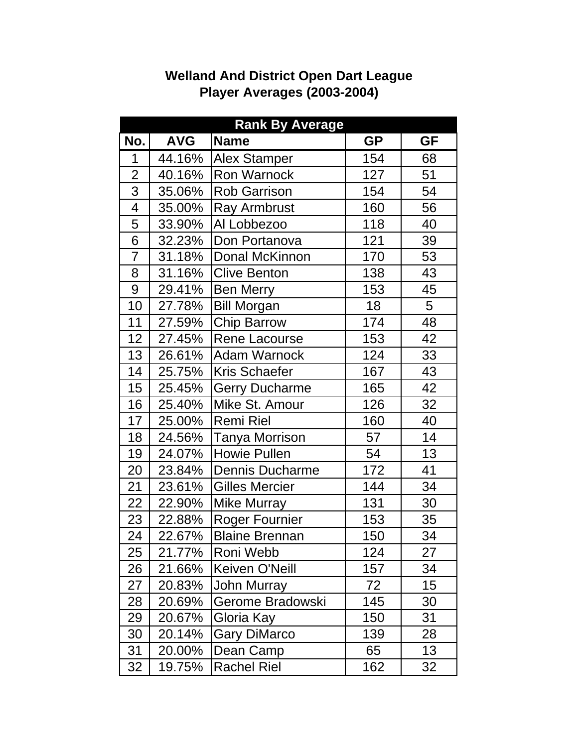|                          |            | <b>Rank By Average</b> |           |           |
|--------------------------|------------|------------------------|-----------|-----------|
| No.                      | <b>AVG</b> | <b>Name</b>            | <b>GP</b> | <b>GF</b> |
| 1                        | 44.16%     | <b>Alex Stamper</b>    | 154       | 68        |
| $\overline{2}$           | 40.16%     | Ron Warnock            | 127       | 51        |
| 3                        | 35.06%     | <b>Rob Garrison</b>    | 154       | 54        |
| $\overline{\mathcal{A}}$ | 35.00%     | <b>Ray Armbrust</b>    | 160       | 56        |
| 5                        | 33.90%     | Al Lobbezoo            | 118       | 40        |
| 6                        | 32.23%     | Don Portanova          | 121       | 39        |
| $\overline{7}$           | 31.18%     | Donal McKinnon         | 170       | 53        |
| 8                        | 31.16%     | <b>Clive Benton</b>    | 138       | 43        |
| 9                        | 29.41%     | <b>Ben Merry</b>       | 153       | 45        |
| 10                       | 27.78%     | <b>Bill Morgan</b>     | 18        | 5         |
| 11                       | 27.59%     | <b>Chip Barrow</b>     | 174       | 48        |
| 12                       | 27.45%     | Rene Lacourse          | 153       | 42        |
| 13                       | 26.61%     | <b>Adam Warnock</b>    | 124       | 33        |
| 14                       | 25.75%     | <b>Kris Schaefer</b>   | 167       | 43        |
| 15                       | 25.45%     | <b>Gerry Ducharme</b>  | 165       | 42        |
| 16                       | 25.40%     | Mike St. Amour         | 126       | 32        |
| 17                       | 25.00%     | <b>Remi Riel</b>       | 160       | 40        |
| 18                       | 24.56%     | <b>Tanya Morrison</b>  | 57        | 14        |
| 19                       | 24.07%     | <b>Howie Pullen</b>    | 54        | 13        |
| 20                       | 23.84%     | Dennis Ducharme        | 172       | 41        |
| 21                       | 23.61%     | <b>Gilles Mercier</b>  | 144       | 34        |
| 22                       | 22.90%     | Mike Murray            | 131       | 30        |
| 23                       | 22.88%     | <b>Roger Fournier</b>  | 153       | 35        |
| 24                       | 22.67%     | <b>Blaine Brennan</b>  | 150       | 34        |
| 25                       | 21.77%     | Roni Webb              | 124       | 27        |
| 26                       | 21.66%     | Keiven O'Neill         | 157       | 34        |
| 27                       | 20.83%     | <b>John Murray</b>     | 72        | 15        |
| 28                       | 20.69%     | Gerome Bradowski       | 145       | 30        |
| 29                       | 20.67%     | Gloria Kay             | 150       | 31        |
| 30                       | 20.14%     | Gary DiMarco           | 139       | 28        |
| 31                       | 20.00%     | Dean Camp              | 65        | 13        |
| 32                       | 19.75%     | <b>Rachel Riel</b>     | 162       | 32        |

# **Welland And District Open Dart League Player Averages (2003-2004)**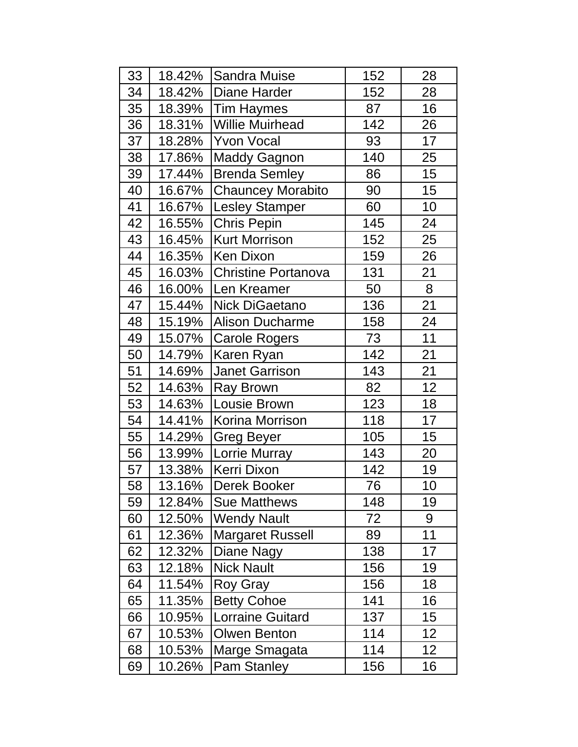| 33 | 18.42% | Sandra Muise               | 152 | 28              |
|----|--------|----------------------------|-----|-----------------|
| 34 | 18.42% | Diane Harder               | 152 | 28              |
| 35 | 18.39% | <b>Tim Haymes</b>          | 87  | 16              |
| 36 | 18.31% | <b>Willie Muirhead</b>     | 142 | 26              |
| 37 | 18.28% | <b>Yvon Vocal</b>          | 93  | 17              |
| 38 | 17.86% | <b>Maddy Gagnon</b>        | 140 | 25              |
| 39 | 17.44% | <b>Brenda Semley</b>       | 86  | 15              |
| 40 | 16.67% | <b>Chauncey Morabito</b>   | 90  | 15              |
| 41 | 16.67% | <b>Lesley Stamper</b>      | 60  | 10              |
| 42 | 16.55% | <b>Chris Pepin</b>         | 145 | 24              |
| 43 | 16.45% | <b>Kurt Morrison</b>       | 152 | 25              |
| 44 | 16.35% | <b>Ken Dixon</b>           | 159 | 26              |
| 45 | 16.03% | <b>Christine Portanova</b> | 131 | 21              |
| 46 | 16.00% | Len Kreamer                | 50  | 8               |
| 47 | 15.44% | Nick DiGaetano             | 136 | 21              |
| 48 | 15.19% | <b>Alison Ducharme</b>     | 158 | 24              |
| 49 | 15.07% | <b>Carole Rogers</b>       | 73  | 11              |
| 50 | 14.79% | Karen Ryan                 | 142 | 21              |
| 51 | 14.69% | <b>Janet Garrison</b>      | 143 | 21              |
| 52 | 14.63% | <b>Ray Brown</b>           | 82  | 12              |
| 53 | 14.63% | Lousie Brown               | 123 | 18              |
| 54 | 14.41% | Korina Morrison            | 118 | 17              |
| 55 | 14.29% | <b>Greg Beyer</b>          | 105 | 15              |
| 56 | 13.99% | Lorrie Murray              | 143 | 20              |
| 57 | 13.38% | <b>Kerri Dixon</b>         | 142 | 19              |
| 58 | 13.16% | <b>Derek Booker</b>        | 76  | 10              |
| 59 | 12.84% | Sue Matthews               | 148 | 19              |
| 60 | 12.50% | <b>Wendy Nault</b>         | 72  | 9               |
| 61 | 12.36% | <b>Margaret Russell</b>    | 89  | 11              |
| 62 | 12.32% | Diane Nagy                 | 138 | 17              |
| 63 | 12.18% | <b>Nick Nault</b>          | 156 | 19              |
| 64 | 11.54% | Roy Gray                   | 156 | 18              |
| 65 | 11.35% | <b>Betty Cohoe</b>         | 141 | 16              |
| 66 | 10.95% | <b>Lorraine Guitard</b>    | 137 | 15              |
| 67 | 10.53% | <b>Olwen Benton</b>        | 114 | 12              |
| 68 | 10.53% | Marge Smagata              | 114 | 12 <sub>2</sub> |
| 69 | 10.26% | <b>Pam Stanley</b>         | 156 | 16              |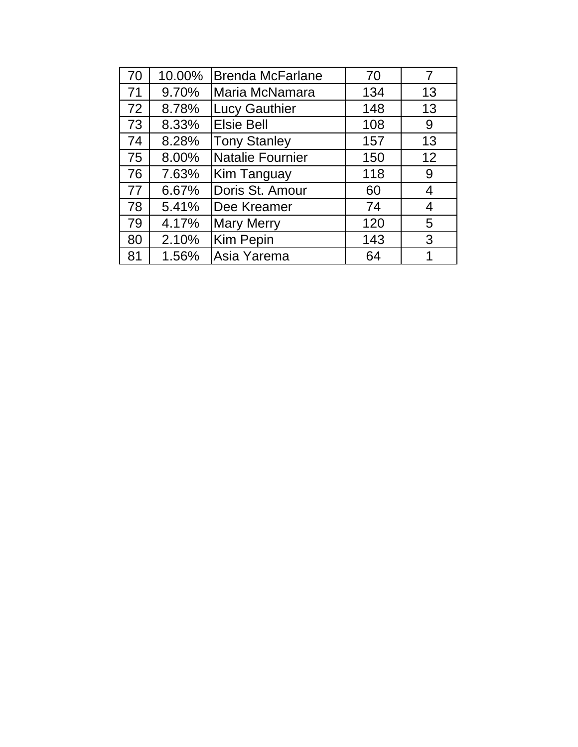| 70 | 10.00% | <b>Brenda McFarlane</b> | 70  |    |
|----|--------|-------------------------|-----|----|
| 71 | 9.70%  | Maria McNamara          | 134 | 13 |
| 72 | 8.78%  | <b>Lucy Gauthier</b>    | 148 | 13 |
| 73 | 8.33%  | <b>Elsie Bell</b>       | 108 | 9  |
| 74 | 8.28%  | <b>Tony Stanley</b>     | 157 | 13 |
| 75 | 8.00%  | <b>Natalie Fournier</b> | 150 | 12 |
| 76 | 7.63%  | Kim Tanguay             | 118 | 9  |
| 77 | 6.67%  | Doris St. Amour         | 60  | 4  |
| 78 | 5.41%  | Dee Kreamer             | 74  | 4  |
| 79 | 4.17%  | <b>Mary Merry</b>       | 120 | 5  |
| 80 | 2.10%  | <b>Kim Pepin</b>        | 143 | 3  |
| 81 | 1.56%  | Asia Yarema             | 64  |    |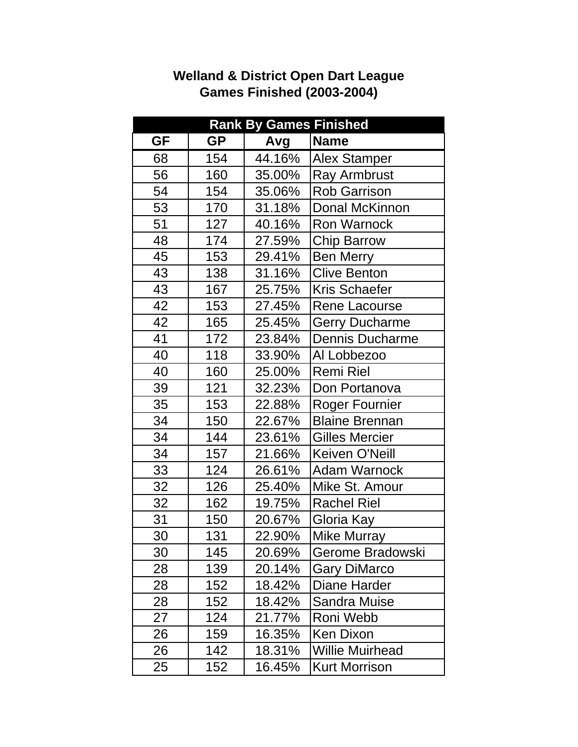|    |           | <b>Rank By Games Finished</b> |                        |
|----|-----------|-------------------------------|------------------------|
| GF | <b>GP</b> | Avg                           | <b>Name</b>            |
| 68 | 154       | 44.16%                        | <b>Alex Stamper</b>    |
| 56 | 160       | 35.00%                        | <b>Ray Armbrust</b>    |
| 54 | 154       | 35.06%                        | <b>Rob Garrison</b>    |
| 53 | 170       | 31.18%                        | Donal McKinnon         |
| 51 | 127       | 40.16%                        | <b>Ron Warnock</b>     |
| 48 | 174       | 27.59%                        | <b>Chip Barrow</b>     |
| 45 | 153       | 29.41%                        | <b>Ben Merry</b>       |
| 43 | 138       | 31.16%                        | <b>Clive Benton</b>    |
| 43 | 167       | 25.75%                        | Kris Schaefer          |
| 42 | 153       | 27.45%                        | Rene Lacourse          |
| 42 | 165       | 25.45%                        | <b>Gerry Ducharme</b>  |
| 41 | 172       | 23.84%                        | Dennis Ducharme        |
| 40 | 118       | 33.90%                        | Al Lobbezoo            |
| 40 | 160       | 25.00%                        | <b>Remi Riel</b>       |
| 39 | 121       | 32.23%                        | Don Portanova          |
| 35 | 153       | 22.88%                        | <b>Roger Fournier</b>  |
| 34 | 150       | 22.67%                        | <b>Blaine Brennan</b>  |
| 34 | 144       | 23.61%                        | <b>Gilles Mercier</b>  |
| 34 | 157       | 21.66%                        | Keiven O'Neill         |
| 33 | 124       | 26.61%                        | <b>Adam Warnock</b>    |
| 32 | 126       | 25.40%                        | Mike St. Amour         |
| 32 | 162       | 19.75%                        | <b>Rachel Riel</b>     |
| 31 | 150       | 20.67%                        | Gloria Kay             |
| 30 | 131       | 22.90%                        | Mike Murray            |
| 30 | 145       | 20.69%                        | Gerome Bradowski       |
| 28 | 139       | 20.14%                        | <b>Gary DiMarco</b>    |
| 28 | 152       | 18.42%                        | Diane Harder           |
| 28 | 152       | 18.42%                        | Sandra Muise           |
| 27 | 124       | 21.77%                        | Roni Webb              |
| 26 | 159       | 16.35%                        | <b>Ken Dixon</b>       |
| 26 | 142       | 18.31%                        | <b>Willie Muirhead</b> |
| 25 | 152       | 16.45%                        | <b>Kurt Morrison</b>   |

# **Welland & District Open Dart League Games Finished (2003-2004)**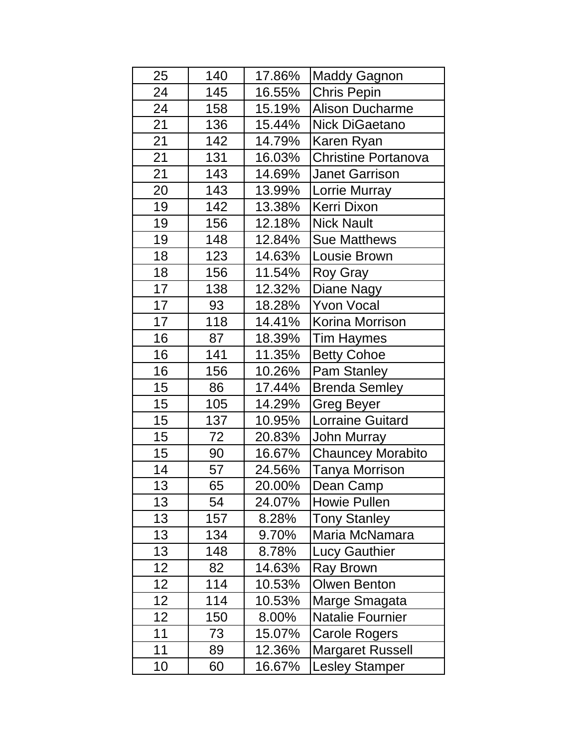| 25 | 140 | 17.86% | <b>Maddy Gagnon</b>        |
|----|-----|--------|----------------------------|
| 24 | 145 | 16.55% | Chris Pepin                |
| 24 | 158 | 15.19% | <b>Alison Ducharme</b>     |
| 21 | 136 | 15.44% | Nick DiGaetano             |
| 21 | 142 | 14.79% | Karen Ryan                 |
| 21 | 131 | 16.03% | <b>Christine Portanova</b> |
| 21 | 143 | 14.69% | <b>Janet Garrison</b>      |
| 20 | 143 | 13.99% | Lorrie Murray              |
| 19 | 142 | 13.38% | Kerri Dixon                |
| 19 | 156 | 12.18% | <b>Nick Nault</b>          |
| 19 | 148 | 12.84% | <b>Sue Matthews</b>        |
| 18 | 123 | 14.63% | Lousie Brown               |
| 18 | 156 | 11.54% | <b>Roy Gray</b>            |
| 17 | 138 | 12.32% | Diane Nagy                 |
| 17 | 93  | 18.28% | <b>Yvon Vocal</b>          |
| 17 | 118 | 14.41% | Korina Morrison            |
| 16 | 87  | 18.39% | <b>Tim Haymes</b>          |
| 16 | 141 | 11.35% | <b>Betty Cohoe</b>         |
| 16 | 156 | 10.26% | Pam Stanley                |
| 15 | 86  | 17.44% | <b>Brenda Semley</b>       |
| 15 | 105 | 14.29% | <b>Greg Beyer</b>          |
| 15 | 137 | 10.95% | <b>Lorraine Guitard</b>    |
| 15 | 72  | 20.83% | John Murray                |
| 15 | 90  | 16.67% | <b>Chauncey Morabito</b>   |
| 14 | 57  | 24.56% | <b>Tanya Morrison</b>      |
| 13 | 65  | 20.00% | Dean Camp                  |
| 13 | 54  | 24.07% | Howie Pullen               |
| 13 | 157 | 8.28%  | <b>Tony Stanley</b>        |
| 13 | 134 | 9.70%  | Maria McNamara             |
| 13 | 148 | 8.78%  | <b>Lucy Gauthier</b>       |
| 12 | 82  | 14.63% | <b>Ray Brown</b>           |
| 12 | 114 | 10.53% | <b>Olwen Benton</b>        |
| 12 | 114 | 10.53% | Marge Smagata              |
| 12 | 150 | 8.00%  | <b>Natalie Fournier</b>    |
| 11 | 73  | 15.07% | <b>Carole Rogers</b>       |
| 11 | 89  | 12.36% | <b>Margaret Russell</b>    |
| 10 | 60  | 16.67% | <b>Lesley Stamper</b>      |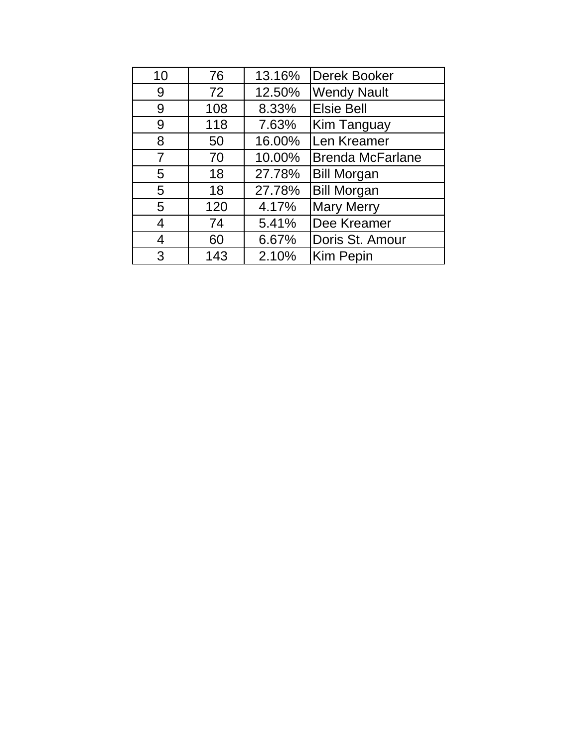| 10 | 76  | 13.16% | Derek Booker            |
|----|-----|--------|-------------------------|
| 9  | 72  | 12.50% | <b>Wendy Nault</b>      |
| 9  | 108 | 8.33%  | <b>Elsie Bell</b>       |
| 9  | 118 | 7.63%  | Kim Tanguay             |
| 8  | 50  | 16.00% | Len Kreamer             |
| 7  | 70  | 10.00% | <b>Brenda McFarlane</b> |
| 5  | 18  | 27.78% | <b>Bill Morgan</b>      |
| 5  | 18  | 27.78% | <b>Bill Morgan</b>      |
| 5  | 120 | 4.17%  | <b>Mary Merry</b>       |
| 4  | 74  | 5.41%  | Dee Kreamer             |
| 4  | 60  | 6.67%  | Doris St. Amour         |
| 3  | 143 | 2.10%  | <b>Kim Pepin</b>        |